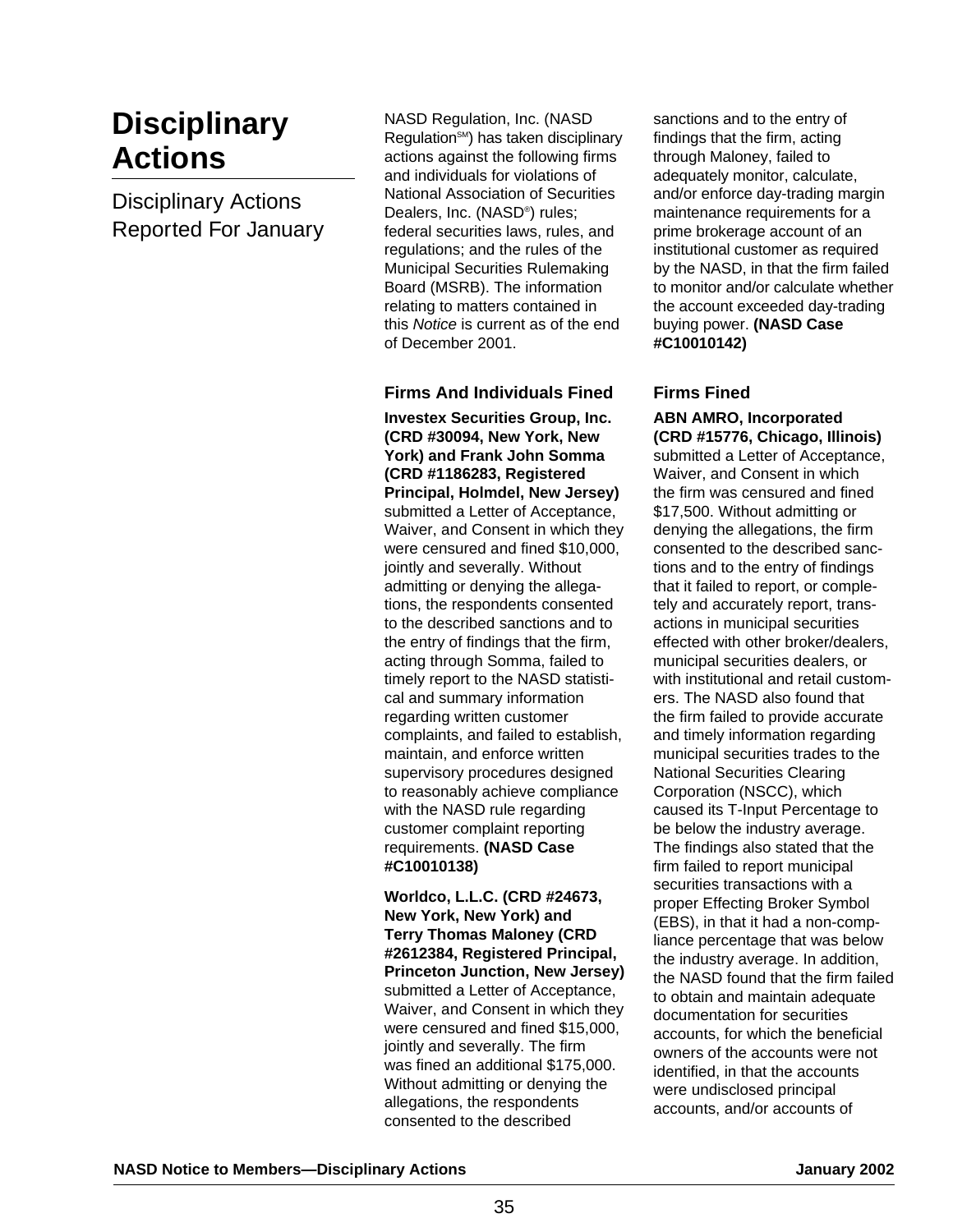# **Disciplinary Actions**

Disciplinary Actions Reported For January NASD Regulation, Inc. (NASD Regulation<sup>SM</sup>) has taken disciplinary actions against the following firms and individuals for violations of National Association of Securities Dealers, Inc. (NASD®) rules; federal securities laws, rules, and regulations; and the rules of the Municipal Securities Rulemaking Board (MSRB). The information relating to matters contained in this Notice is current as of the end of December 2001.

## **Firms And Individuals Fined**

**Investex Securities Group, Inc. (CRD #30094, New York, New York) and Frank John Somma (CRD #1186283, Registered Principal, Holmdel, New Jersey)** submitted a Letter of Acceptance, Waiver, and Consent in which they were censured and fined \$10,000, jointly and severally. Without admitting or denying the allegations, the respondents consented to the described sanctions and to the entry of findings that the firm, acting through Somma, failed to timely report to the NASD statistical and summary information regarding written customer complaints, and failed to establish, maintain, and enforce written supervisory procedures designed to reasonably achieve compliance with the NASD rule regarding customer complaint reporting requirements. **(NASD Case #C10010138)**

**Worldco, L.L.C. (CRD #24673, New York, New York) and Terry Thomas Maloney (CRD #2612384, Registered Principal, Princeton Junction, New Jersey)** submitted a Letter of Acceptance, Waiver, and Consent in which they were censured and fined \$15,000, jointly and severally. The firm was fined an additional \$175,000. Without admitting or denying the allegations, the respondents consented to the described

sanctions and to the entry of findings that the firm, acting through Maloney, failed to adequately monitor, calculate, and/or enforce day-trading margin maintenance requirements for a prime brokerage account of an institutional customer as required by the NASD, in that the firm failed to monitor and/or calculate whether the account exceeded day-trading buying power. **(NASD Case #C10010142)**

#### **Firms Fined**

**ABN AMRO, Incorporated (CRD #15776, Chicago, Illinois)** submitted a Letter of Acceptance, Waiver, and Consent in which the firm was censured and fined \$17,500. Without admitting or denying the allegations, the firm consented to the described sanctions and to the entry of findings that it failed to report, or completely and accurately report, transactions in municipal securities effected with other broker/dealers, municipal securities dealers, or with institutional and retail customers. The NASD also found that the firm failed to provide accurate and timely information regarding municipal securities trades to the National Securities Clearing Corporation (NSCC), which caused its T-Input Percentage to be below the industry average. The findings also stated that the firm failed to report municipal securities transactions with a proper Effecting Broker Symbol (EBS), in that it had a non-compliance percentage that was below the industry average. In addition, the NASD found that the firm failed to obtain and maintain adequate documentation for securities accounts, for which the beneficial owners of the accounts were not identified, in that the accounts were undisclosed principal accounts, and/or accounts of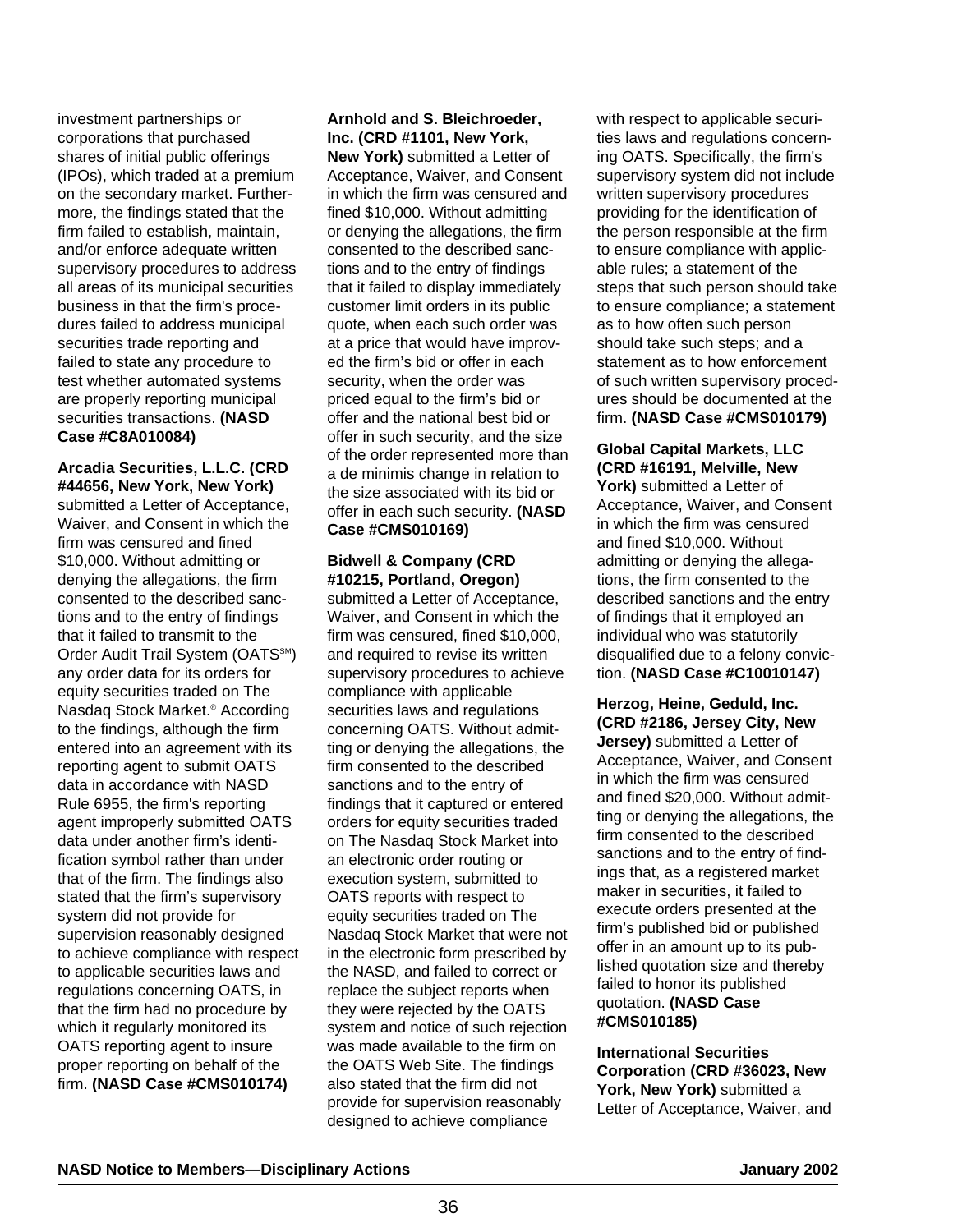investment partnerships or corporations that purchased shares of initial public offerings (IPOs), which traded at a premium on the secondary market. Furthermore, the findings stated that the firm failed to establish, maintain, and/or enforce adequate written supervisory procedures to address all areas of its municipal securities business in that the firm's procedures failed to address municipal securities trade reporting and failed to state any procedure to test whether automated systems are properly reporting municipal securities transactions. **(NASD Case #C8A010084)**

# **Arcadia Securities, L.L.C. (CRD #44656, New York, New York)**

submitted a Letter of Acceptance, Waiver, and Consent in which the firm was censured and fined \$10,000. Without admitting or denying the allegations, the firm consented to the described sanctions and to the entry of findings that it failed to transmit to the Order Audit Trail System (OATS<sup>SM</sup>) any order data for its orders for equity securities traded on The Nasdaq Stock Market.® According to the findings, although the firm entered into an agreement with its reporting agent to submit OATS data in accordance with NASD Rule 6955, the firm's reporting agent improperly submitted OATS data under another firm's identification symbol rather than under that of the firm. The findings also stated that the firm's supervisory system did not provide for supervision reasonably designed to achieve compliance with respect to applicable securities laws and regulations concerning OATS, in that the firm had no procedure by which it regularly monitored its OATS reporting agent to insure proper reporting on behalf of the firm. **(NASD Case #CMS010174)**

**Arnhold and S. Bleichroeder, Inc. (CRD #1101, New York, New York)** submitted a Letter of Acceptance, Waiver, and Consent in which the firm was censured and fined \$10,000. Without admitting or denying the allegations, the firm consented to the described sanctions and to the entry of findings that it failed to display immediately customer limit orders in its public quote, when each such order was at a price that would have improved the firm's bid or offer in each security, when the order was priced equal to the firm's bid or offer and the national best bid or offer in such security, and the size of the order represented more than a de minimis change in relation to the size associated with its bid or offer in each such security. **(NASD Case #CMS010169)** 

#### **Bidwell & Company (CRD #10215, Portland, Oregon)**

submitted a Letter of Acceptance, Waiver, and Consent in which the firm was censured, fined \$10,000, and required to revise its written supervisory procedures to achieve compliance with applicable securities laws and regulations concerning OATS. Without admitting or denying the allegations, the firm consented to the described sanctions and to the entry of findings that it captured or entered orders for equity securities traded on The Nasdaq Stock Market into an electronic order routing or execution system, submitted to OATS reports with respect to equity securities traded on The Nasdaq Stock Market that were not in the electronic form prescribed by the NASD, and failed to correct or replace the subject reports when they were rejected by the OATS system and notice of such rejection was made available to the firm on the OATS Web Site. The findings also stated that the firm did not provide for supervision reasonably designed to achieve compliance

with respect to applicable securities laws and regulations concerning OATS. Specifically, the firm's supervisory system did not include written supervisory procedures providing for the identification of the person responsible at the firm to ensure compliance with applicable rules; a statement of the steps that such person should take to ensure compliance; a statement as to how often such person should take such steps; and a statement as to how enforcement of such written supervisory procedures should be documented at the firm. **(NASD Case #CMS010179)** 

**Global Capital Markets, LLC (CRD #16191, Melville, New** York) submitted a Letter of Acceptance, Waiver, and Consent in which the firm was censured and fined \$10,000. Without admitting or denying the allegations, the firm consented to the described sanctions and the entry of findings that it employed an individual who was statutorily disqualified due to a felony conviction. **(NASD Case #C10010147)**

**Herzog, Heine, Geduld, Inc. (CRD #2186, Jersey City, New Jersey)** submitted a Letter of Acceptance, Waiver, and Consent in which the firm was censured and fined \$20,000. Without admitting or denying the allegations, the firm consented to the described sanctions and to the entry of findings that, as a registered market maker in securities, it failed to execute orders presented at the firm's published bid or published offer in an amount up to its published quotation size and thereby failed to honor its published quotation. **(NASD Case #CMS010185)**

**International Securities Corporation (CRD #36023, New** York, New York) submitted a Letter of Acceptance, Waiver, and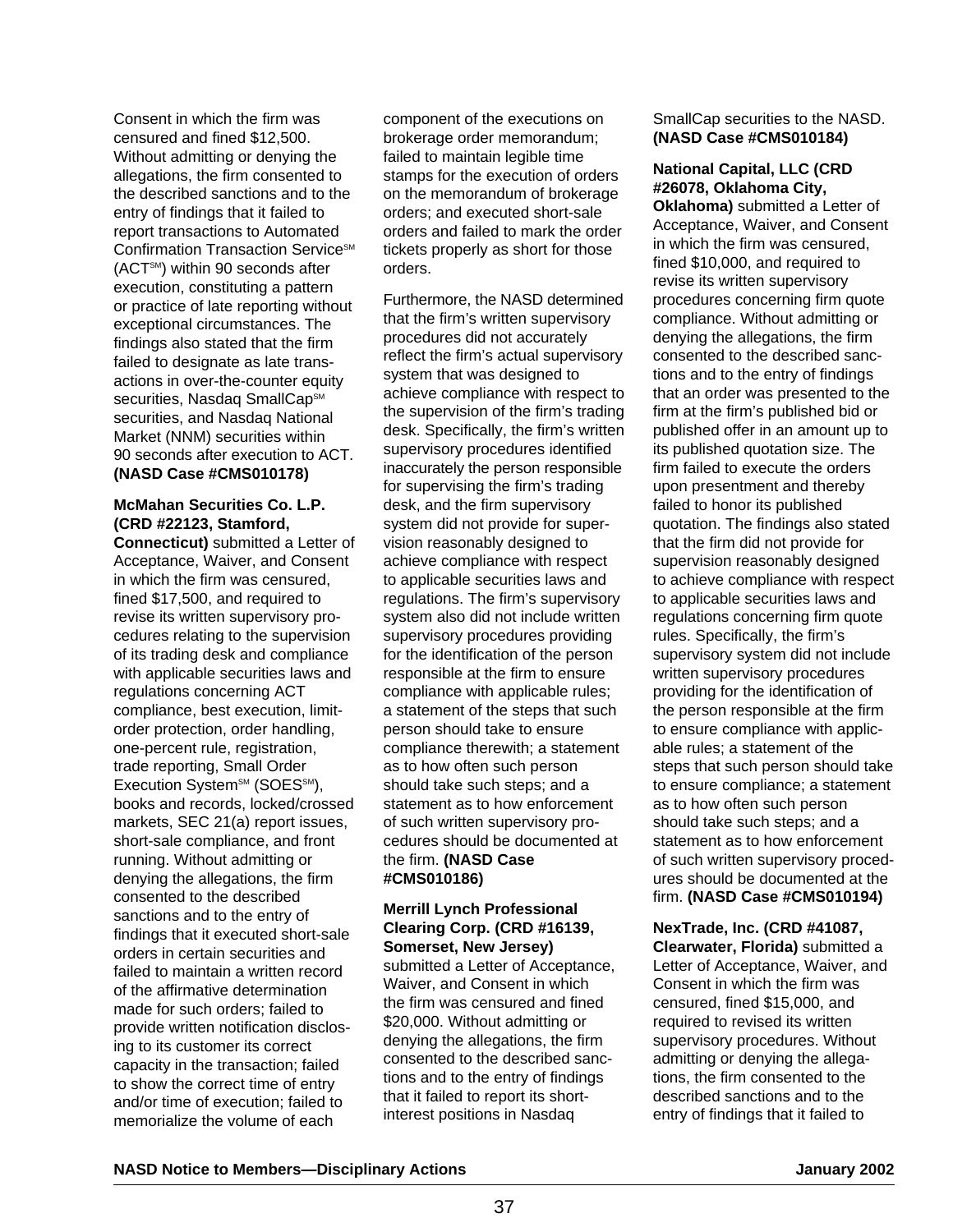Consent in which the firm was censured and fined \$12,500. Without admitting or denying the allegations, the firm consented to the described sanctions and to the entry of findings that it failed to report transactions to Automated Confirmation Transaction Service<sup>SM</sup> (ACTSM) within 90 seconds after execution, constituting a pattern or practice of late reporting without exceptional circumstances. The findings also stated that the firm failed to designate as late transactions in over-the-counter equity securities, Nasdaq SmallCap<sup>sM</sup> securities, and Nasdaq National Market (NNM) securities within 90 seconds after execution to ACT. **(NASD Case #CMS010178)**

# **McMahan Securities Co. L.P. (CRD #22123, Stamford,**

**Connecticut)** submitted a Letter of Acceptance, Waiver, and Consent in which the firm was censured, fined \$17,500, and required to revise its written supervisory procedures relating to the supervision of its trading desk and compliance with applicable securities laws and regulations concerning ACT compliance, best execution, limitorder protection, order handling, one-percent rule, registration, trade reporting, Small Order Execution System<sup>sM</sup> (SOES<sup>SM</sup>), books and records, locked/crossed markets, SEC 21(a) report issues, short-sale compliance, and front running. Without admitting or denying the allegations, the firm consented to the described sanctions and to the entry of findings that it executed short-sale orders in certain securities and failed to maintain a written record of the affirmative determination made for such orders; failed to provide written notification disclosing to its customer its correct capacity in the transaction; failed to show the correct time of entry and/or time of execution; failed to memorialize the volume of each

component of the executions on brokerage order memorandum; failed to maintain legible time stamps for the execution of orders on the memorandum of brokerage orders; and executed short-sale orders and failed to mark the order tickets properly as short for those orders.

Furthermore, the NASD determined that the firm's written supervisory procedures did not accurately reflect the firm's actual supervisory system that was designed to achieve compliance with respect to the supervision of the firm's trading desk. Specifically, the firm's written supervisory procedures identified inaccurately the person responsible for supervising the firm's trading desk, and the firm supervisory system did not provide for supervision reasonably designed to achieve compliance with respect to applicable securities laws and regulations. The firm's supervisory system also did not include written supervisory procedures providing for the identification of the person responsible at the firm to ensure compliance with applicable rules; a statement of the steps that such person should take to ensure compliance therewith; a statement as to how often such person should take such steps; and a statement as to how enforcement of such written supervisory procedures should be documented at the firm. **(NASD Case #CMS010186)**

# **Merrill Lynch Professional Clearing Corp. (CRD #16139, Somerset, New Jersey)**

submitted a Letter of Acceptance, Waiver, and Consent in which the firm was censured and fined \$20,000. Without admitting or denying the allegations, the firm consented to the described sanctions and to the entry of findings that it failed to report its shortinterest positions in Nasdaq

SmallCap securities to the NASD. **(NASD Case #CMS010184)**

# **National Capital, LLC (CRD #26078, Oklahoma City,**

**Oklahoma)** submitted a Letter of Acceptance, Waiver, and Consent in which the firm was censured, fined \$10,000, and required to revise its written supervisory procedures concerning firm quote compliance. Without admitting or denying the allegations, the firm consented to the described sanctions and to the entry of findings that an order was presented to the firm at the firm's published bid or published offer in an amount up to its published quotation size. The firm failed to execute the orders upon presentment and thereby failed to honor its published quotation. The findings also stated that the firm did not provide for supervision reasonably designed to achieve compliance with respect to applicable securities laws and regulations concerning firm quote rules. Specifically, the firm's supervisory system did not include written supervisory procedures providing for the identification of the person responsible at the firm to ensure compliance with applicable rules; a statement of the steps that such person should take to ensure compliance; a statement as to how often such person should take such steps; and a statement as to how enforcement of such written supervisory procedures should be documented at the firm. **(NASD Case #CMS010194)**

**NexTrade, Inc. (CRD #41087, Clearwater, Florida)** submitted a Letter of Acceptance, Waiver, and Consent in which the firm was censured, fined \$15,000, and required to revised its written supervisory procedures. Without admitting or denying the allegations, the firm consented to the described sanctions and to the entry of findings that it failed to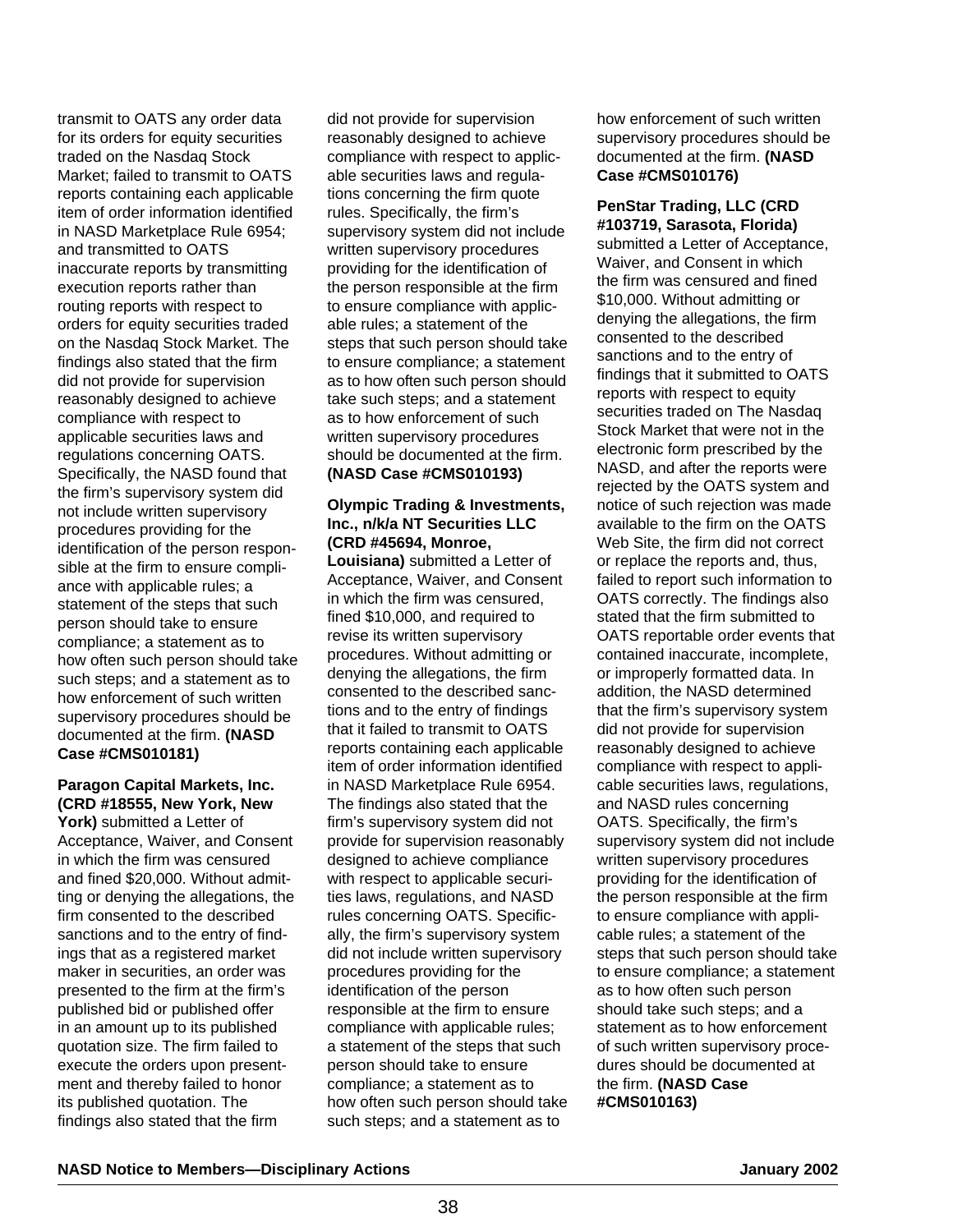transmit to OATS any order data for its orders for equity securities traded on the Nasdaq Stock Market; failed to transmit to OATS reports containing each applicable item of order information identified in NASD Marketplace Rule 6954; and transmitted to OATS inaccurate reports by transmitting execution reports rather than routing reports with respect to orders for equity securities traded on the Nasdaq Stock Market. The findings also stated that the firm did not provide for supervision reasonably designed to achieve compliance with respect to applicable securities laws and regulations concerning OATS. Specifically, the NASD found that the firm's supervisory system did not include written supervisory procedures providing for the identification of the person responsible at the firm to ensure compliance with applicable rules; a statement of the steps that such person should take to ensure compliance; a statement as to how often such person should take such steps; and a statement as to how enforcement of such written supervisory procedures should be documented at the firm. **(NASD Case #CMS010181)**

# **Paragon Capital Markets, Inc. (CRD #18555, New York, New**

York) submitted a Letter of Acceptance, Waiver, and Consent in which the firm was censured and fined \$20,000. Without admitting or denying the allegations, the firm consented to the described sanctions and to the entry of findings that as a registered market maker in securities, an order was presented to the firm at the firm's published bid or published offer in an amount up to its published quotation size. The firm failed to execute the orders upon presentment and thereby failed to honor its published quotation. The findings also stated that the firm

did not provide for supervision reasonably designed to achieve compliance with respect to applicable securities laws and regulations concerning the firm quote rules. Specifically, the firm's supervisory system did not include written supervisory procedures providing for the identification of the person responsible at the firm to ensure compliance with applicable rules; a statement of the steps that such person should take to ensure compliance; a statement as to how often such person should take such steps; and a statement as to how enforcement of such written supervisory procedures should be documented at the firm. **(NASD Case #CMS010193)** 

#### **Olympic Trading & Investments, Inc., n/k/a NT Securities LLC (CRD #45694, Monroe,**

**Louisiana)** submitted a Letter of Acceptance, Waiver, and Consent in which the firm was censured, fined \$10,000, and required to revise its written supervisory procedures. Without admitting or denying the allegations, the firm consented to the described sanctions and to the entry of findings that it failed to transmit to OATS reports containing each applicable item of order information identified in NASD Marketplace Rule 6954. The findings also stated that the firm's supervisory system did not provide for supervision reasonably designed to achieve compliance with respect to applicable securities laws, regulations, and NASD rules concerning OATS. Specifically, the firm's supervisory system did not include written supervisory procedures providing for the identification of the person responsible at the firm to ensure compliance with applicable rules; a statement of the steps that such person should take to ensure compliance; a statement as to how often such person should take such steps; and a statement as to

how enforcement of such written supervisory procedures should be documented at the firm. **(NASD Case #CMS010176)**

**PenStar Trading, LLC (CRD #103719, Sarasota, Florida)** submitted a Letter of Acceptance, Waiver, and Consent in which the firm was censured and fined \$10,000. Without admitting or denying the allegations, the firm consented to the described sanctions and to the entry of findings that it submitted to OATS reports with respect to equity securities traded on The Nasdaq Stock Market that were not in the electronic form prescribed by the NASD, and after the reports were rejected by the OATS system and notice of such rejection was made available to the firm on the OATS Web Site, the firm did not correct or replace the reports and, thus, failed to report such information to OATS correctly. The findings also stated that the firm submitted to OATS reportable order events that contained inaccurate, incomplete, or improperly formatted data. In addition, the NASD determined that the firm's supervisory system did not provide for supervision reasonably designed to achieve compliance with respect to applicable securities laws, regulations, and NASD rules concerning OATS. Specifically, the firm's supervisory system did not include written supervisory procedures providing for the identification of the person responsible at the firm to ensure compliance with applicable rules; a statement of the steps that such person should take to ensure compliance; a statement as to how often such person should take such steps; and a statement as to how enforcement of such written supervisory procedures should be documented at the firm. **(NASD Case #CMS010163)**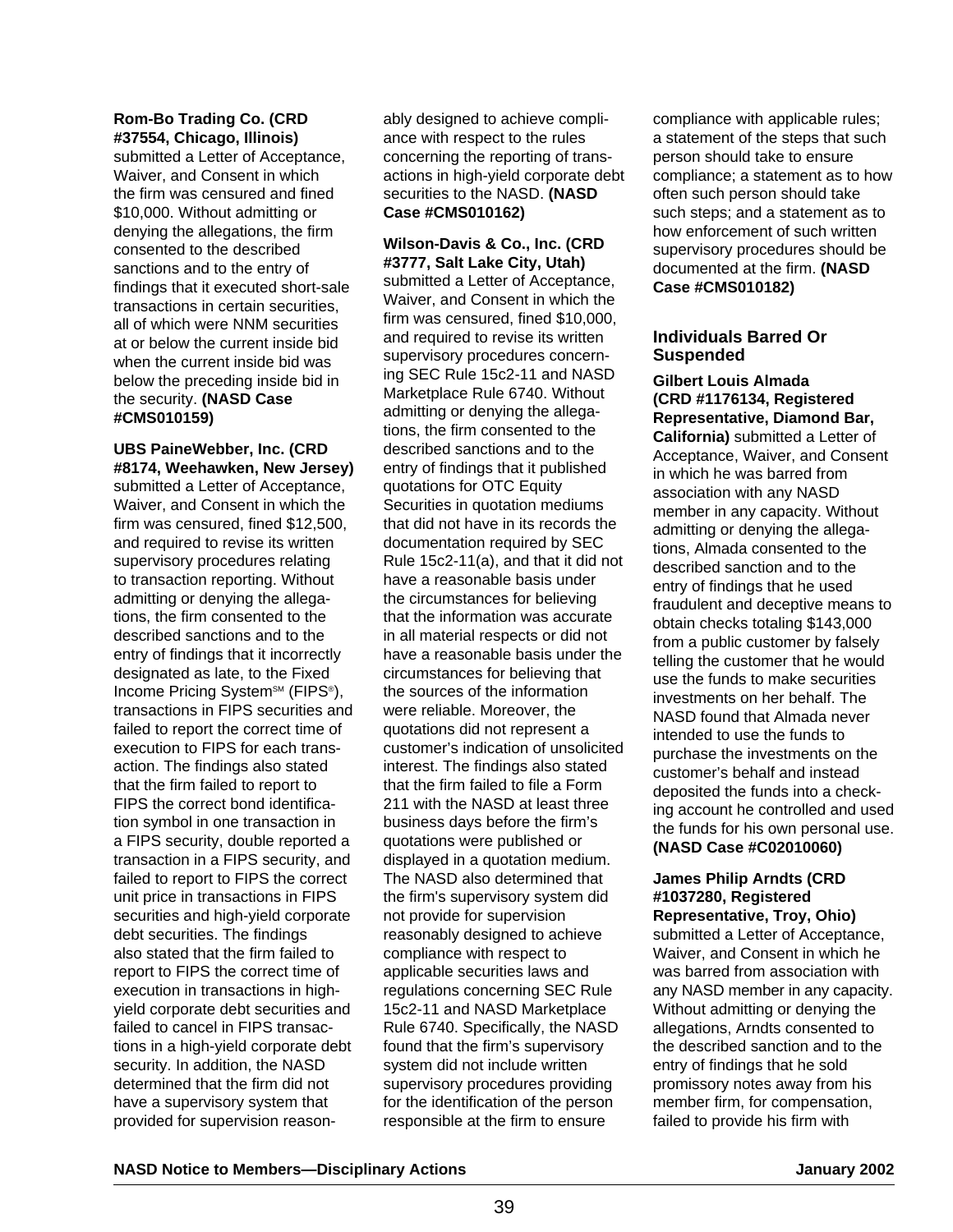#### **Rom-Bo Trading Co. (CRD #37554, Chicago, Illinois)**

submitted a Letter of Acceptance, Waiver, and Consent in which the firm was censured and fined \$10,000. Without admitting or denying the allegations, the firm consented to the described sanctions and to the entry of findings that it executed short-sale transactions in certain securities, all of which were NNM securities at or below the current inside bid when the current inside bid was below the preceding inside bid in the security. **(NASD Case #CMS010159)** 

# **UBS PaineWebber, Inc. (CRD #8174, Weehawken, New Jersey)**

submitted a Letter of Acceptance, Waiver, and Consent in which the firm was censured, fined \$12,500, and required to revise its written supervisory procedures relating to transaction reporting. Without admitting or denying the allegations, the firm consented to the described sanctions and to the entry of findings that it incorrectly designated as late, to the Fixed Income Pricing System<sup>sM</sup> (FIPS<sup>®</sup>), transactions in FIPS securities and failed to report the correct time of execution to FIPS for each transaction. The findings also stated that the firm failed to report to FIPS the correct bond identification symbol in one transaction in a FIPS security, double reported a transaction in a FIPS security, and failed to report to FIPS the correct unit price in transactions in FIPS securities and high-yield corporate debt securities. The findings also stated that the firm failed to report to FIPS the correct time of execution in transactions in highyield corporate debt securities and failed to cancel in FIPS transactions in a high-yield corporate debt security. In addition, the NASD determined that the firm did not have a supervisory system that provided for supervision reasonably designed to achieve compliance with respect to the rules concerning the reporting of transactions in high-yield corporate debt securities to the NASD. **(NASD Case #CMS010162)** 

#### **Wilson-Davis & Co., Inc. (CRD #3777, Salt Lake City, Utah)**

submitted a Letter of Acceptance, Waiver, and Consent in which the firm was censured, fined \$10,000, and required to revise its written supervisory procedures concerning SEC Rule 15c2-11 and NASD Marketplace Rule 6740. Without admitting or denying the allegations, the firm consented to the described sanctions and to the entry of findings that it published quotations for OTC Equity Securities in quotation mediums that did not have in its records the documentation required by SEC Rule 15c2-11(a), and that it did not have a reasonable basis under the circumstances for believing that the information was accurate in all material respects or did not have a reasonable basis under the circumstances for believing that the sources of the information were reliable. Moreover, the quotations did not represent a customer's indication of unsolicited interest. The findings also stated that the firm failed to file a Form 211 with the NASD at least three business days before the firm's quotations were published or displayed in a quotation medium. The NASD also determined that the firm's supervisory system did not provide for supervision reasonably designed to achieve compliance with respect to applicable securities laws and regulations concerning SEC Rule 15c2-11 and NASD Marketplace Rule 6740. Specifically, the NASD found that the firm's supervisory system did not include written supervisory procedures providing for the identification of the person responsible at the firm to ensure

compliance with applicable rules; a statement of the steps that such person should take to ensure compliance; a statement as to how often such person should take such steps; and a statement as to how enforcement of such written supervisory procedures should be documented at the firm. **(NASD Case #CMS010182)**

## **Individuals Barred Or Suspended**

**Gilbert Louis Almada (CRD #1176134, Registered Representative, Diamond Bar, California)** submitted a Letter of Acceptance, Waiver, and Consent in which he was barred from association with any NASD member in any capacity. Without admitting or denying the allegations, Almada consented to the described sanction and to the entry of findings that he used fraudulent and deceptive means to obtain checks totaling \$143,000 from a public customer by falsely telling the customer that he would use the funds to make securities investments on her behalf. The NASD found that Almada never intended to use the funds to purchase the investments on the customer's behalf and instead deposited the funds into a checking account he controlled and used the funds for his own personal use. **(NASD Case #C02010060)** 

# **James Philip Arndts (CRD #1037280, Registered**

**Representative, Troy, Ohio)** submitted a Letter of Acceptance, Waiver, and Consent in which he was barred from association with any NASD member in any capacity. Without admitting or denying the allegations, Arndts consented to the described sanction and to the entry of findings that he sold promissory notes away from his member firm, for compensation, failed to provide his firm with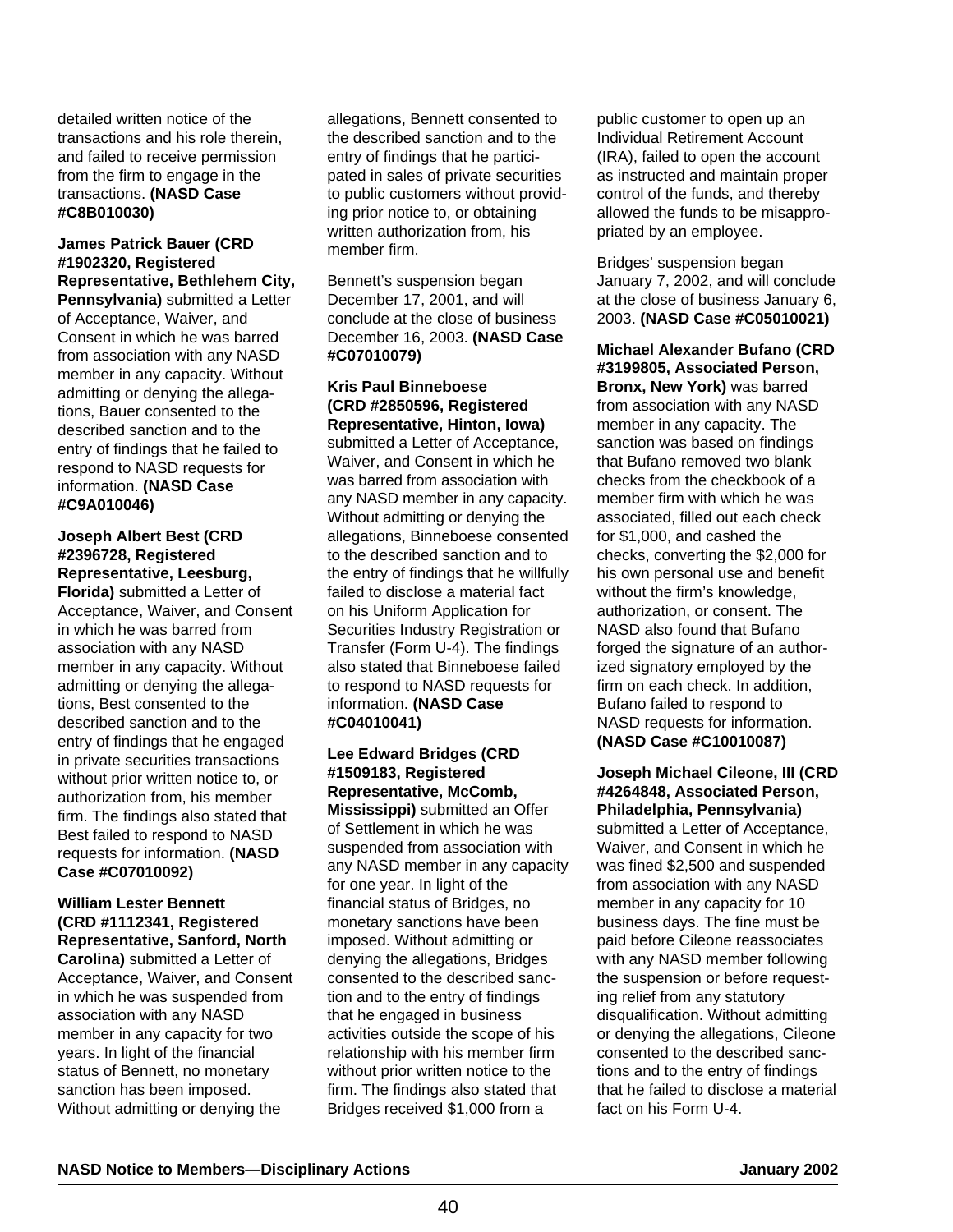detailed written notice of the transactions and his role therein, and failed to receive permission from the firm to engage in the transactions. **(NASD Case #C8B010030)**

# **James Patrick Bauer (CRD #1902320, Registered Representative, Bethlehem City,**

**Pennsylvania)** submitted a Letter of Acceptance, Waiver, and Consent in which he was barred from association with any NASD member in any capacity. Without admitting or denying the allegations, Bauer consented to the described sanction and to the entry of findings that he failed to respond to NASD requests for information. **(NASD Case #C9A010046)**

#### **Joseph Albert Best (CRD #2396728, Registered Representative, Leesburg,**

**Florida)** submitted a Letter of Acceptance, Waiver, and Consent in which he was barred from association with any NASD member in any capacity. Without admitting or denying the allegations, Best consented to the described sanction and to the entry of findings that he engaged in private securities transactions without prior written notice to, or authorization from, his member firm. The findings also stated that Best failed to respond to NASD requests for information. **(NASD Case #C07010092)**

## **William Lester Bennett (CRD #1112341, Registered Representative, Sanford, North**

**Carolina)** submitted a Letter of Acceptance, Waiver, and Consent in which he was suspended from association with any NASD member in any capacity for two years. In light of the financial status of Bennett, no monetary sanction has been imposed. Without admitting or denying the

allegations, Bennett consented to the described sanction and to the entry of findings that he participated in sales of private securities to public customers without providing prior notice to, or obtaining written authorization from, his member firm.

Bennett's suspension began December 17, 2001, and will conclude at the close of business December 16, 2003. **(NASD Case #C07010079)**

#### **Kris Paul Binneboese (CRD #2850596, Registered Representative, Hinton, Iowa)**

submitted a Letter of Acceptance, Waiver, and Consent in which he was barred from association with any NASD member in any capacity. Without admitting or denying the allegations, Binneboese consented to the described sanction and to the entry of findings that he willfully failed to disclose a material fact on his Uniform Application for Securities Industry Registration or Transfer (Form U-4). The findings also stated that Binneboese failed to respond to NASD requests for information. **(NASD Case #C04010041)**

# **Lee Edward Bridges (CRD #1509183, Registered Representative, McComb,**

**Mississippi)** submitted an Offer of Settlement in which he was suspended from association with any NASD member in any capacity for one year. In light of the financial status of Bridges, no monetary sanctions have been imposed. Without admitting or denying the allegations, Bridges consented to the described sanction and to the entry of findings that he engaged in business activities outside the scope of his relationship with his member firm without prior written notice to the firm. The findings also stated that Bridges received \$1,000 from a

public customer to open up an Individual Retirement Account (IRA), failed to open the account as instructed and maintain proper control of the funds, and thereby allowed the funds to be misappropriated by an employee.

Bridges' suspension began January 7, 2002, and will conclude at the close of business January 6, 2003. **(NASD Case #C05010021)**

**Michael Alexander Bufano (CRD #3199805, Associated Person, Bronx, New York)** was barred from association with any NASD member in any capacity. The sanction was based on findings that Bufano removed two blank checks from the checkbook of a member firm with which he was associated, filled out each check for \$1,000, and cashed the checks, converting the \$2,000 for his own personal use and benefit without the firm's knowledge, authorization, or consent. The NASD also found that Bufano forged the signature of an authorized signatory employed by the firm on each check. In addition, Bufano failed to respond to NASD requests for information. **(NASD Case #C10010087)**

**Joseph Michael Cileone, III (CRD #4264848, Associated Person, Philadelphia, Pennsylvania)** submitted a Letter of Acceptance, Waiver, and Consent in which he was fined \$2,500 and suspended from association with any NASD member in any capacity for 10 business days. The fine must be paid before Cileone reassociates with any NASD member following the suspension or before requesting relief from any statutory disqualification. Without admitting or denying the allegations, Cileone consented to the described sanctions and to the entry of findings that he failed to disclose a material fact on his Form U-4.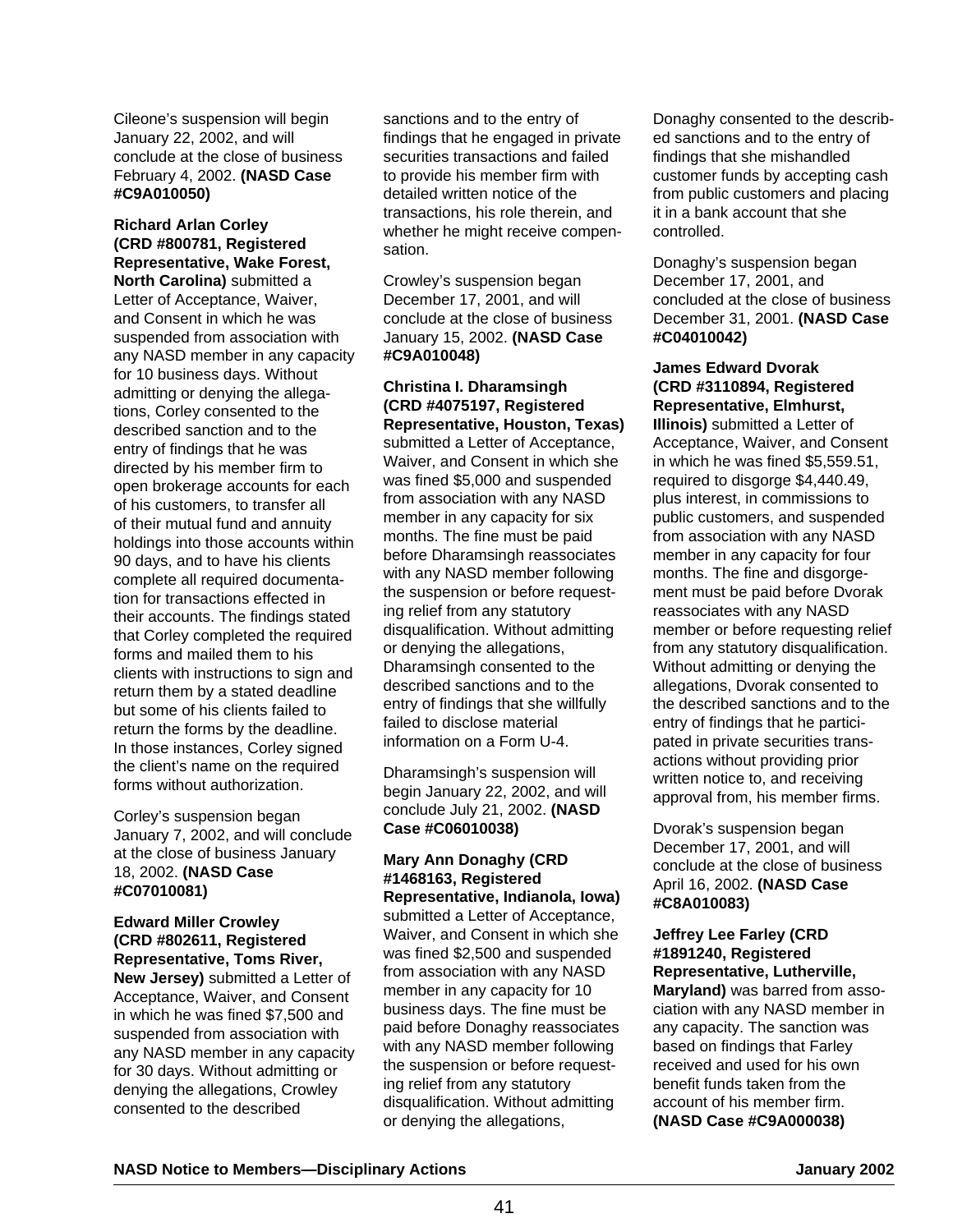Cileone's suspension will begin January 22, 2002, and will conclude at the close of business February 4, 2002. **(NASD Case #C9A010050)**

# **Richard Arlan Corley (CRD #800781, Registered Representative, Wake Forest,**

**North Carolina)** submitted a Letter of Acceptance, Waiver, and Consent in which he was suspended from association with any NASD member in any capacity for 10 business days. Without admitting or denying the allegations, Corley consented to the described sanction and to the entry of findings that he was directed by his member firm to open brokerage accounts for each of his customers, to transfer all of their mutual fund and annuity holdings into those accounts within 90 days, and to have his clients complete all required documentation for transactions effected in their accounts. The findings stated that Corley completed the required forms and mailed them to his clients with instructions to sign and return them by a stated deadline but some of his clients failed to return the forms by the deadline. In those instances, Corley signed the client's name on the required forms without authorization.

Corley's suspension began January 7, 2002, and will conclude at the close of business January 18, 2002. **(NASD Case #C07010081)**

#### **Edward Miller Crowley (CRD #802611, Registered Representative, Toms River,**

**New Jersey)** submitted a Letter of Acceptance, Waiver, and Consent in which he was fined \$7,500 and suspended from association with any NASD member in any capacity for 30 days. Without admitting or denying the allegations, Crowley consented to the described

sanctions and to the entry of findings that he engaged in private securities transactions and failed to provide his member firm with detailed written notice of the transactions, his role therein, and whether he might receive compensation.

Crowley's suspension began December 17, 2001, and will conclude at the close of business January 15, 2002. **(NASD Case #C9A010048)**

#### **Christina I. Dharamsingh (CRD #4075197, Registered Representative, Houston, Texas)**

submitted a Letter of Acceptance, Waiver, and Consent in which she was fined \$5,000 and suspended from association with any NASD member in any capacity for six months. The fine must be paid before Dharamsingh reassociates with any NASD member following the suspension or before requesting relief from any statutory disqualification. Without admitting or denying the allegations, Dharamsingh consented to the described sanctions and to the entry of findings that she willfully failed to disclose material information on a Form U-4.

Dharamsingh's suspension will begin January 22, 2002, and will conclude July 21, 2002. **(NASD Case #C06010038)**

#### **Mary Ann Donaghy (CRD #1468163, Registered Representative, Indianola, Iowa)**

submitted a Letter of Acceptance, Waiver, and Consent in which she was fined \$2,500 and suspended from association with any NASD member in any capacity for 10 business days. The fine must be paid before Donaghy reassociates with any NASD member following the suspension or before requesting relief from any statutory disqualification. Without admitting or denying the allegations,

Donaghy consented to the described sanctions and to the entry of findings that she mishandled customer funds by accepting cash from public customers and placing it in a bank account that she controlled.

Donaghy's suspension began December 17, 2001, and concluded at the close of business December 31, 2001. **(NASD Case #C04010042)**

#### **James Edward Dvorak (CRD #3110894, Registered Representative, Elmhurst,**

**Illinois)** submitted a Letter of Acceptance, Waiver, and Consent in which he was fined \$5,559.51, required to disgorge \$4,440.49, plus interest, in commissions to public customers, and suspended from association with any NASD member in any capacity for four months. The fine and disgorgement must be paid before Dvorak reassociates with any NASD member or before requesting relief from any statutory disqualification. Without admitting or denying the allegations, Dvorak consented to the described sanctions and to the entry of findings that he participated in private securities transactions without providing prior written notice to, and receiving approval from, his member firms.

Dvorak's suspension began December 17, 2001, and will conclude at the close of business April 16, 2002. **(NASD Case #C8A010083)**

#### **Jeffrey Lee Farley (CRD #1891240, Registered Representative, Lutherville, Maryland)** was barred from association with any NASD member in any capacity. The sanction was based on findings that Farley received and used for his own benefit funds taken from the account of his member firm. **(NASD Case #C9A000038)**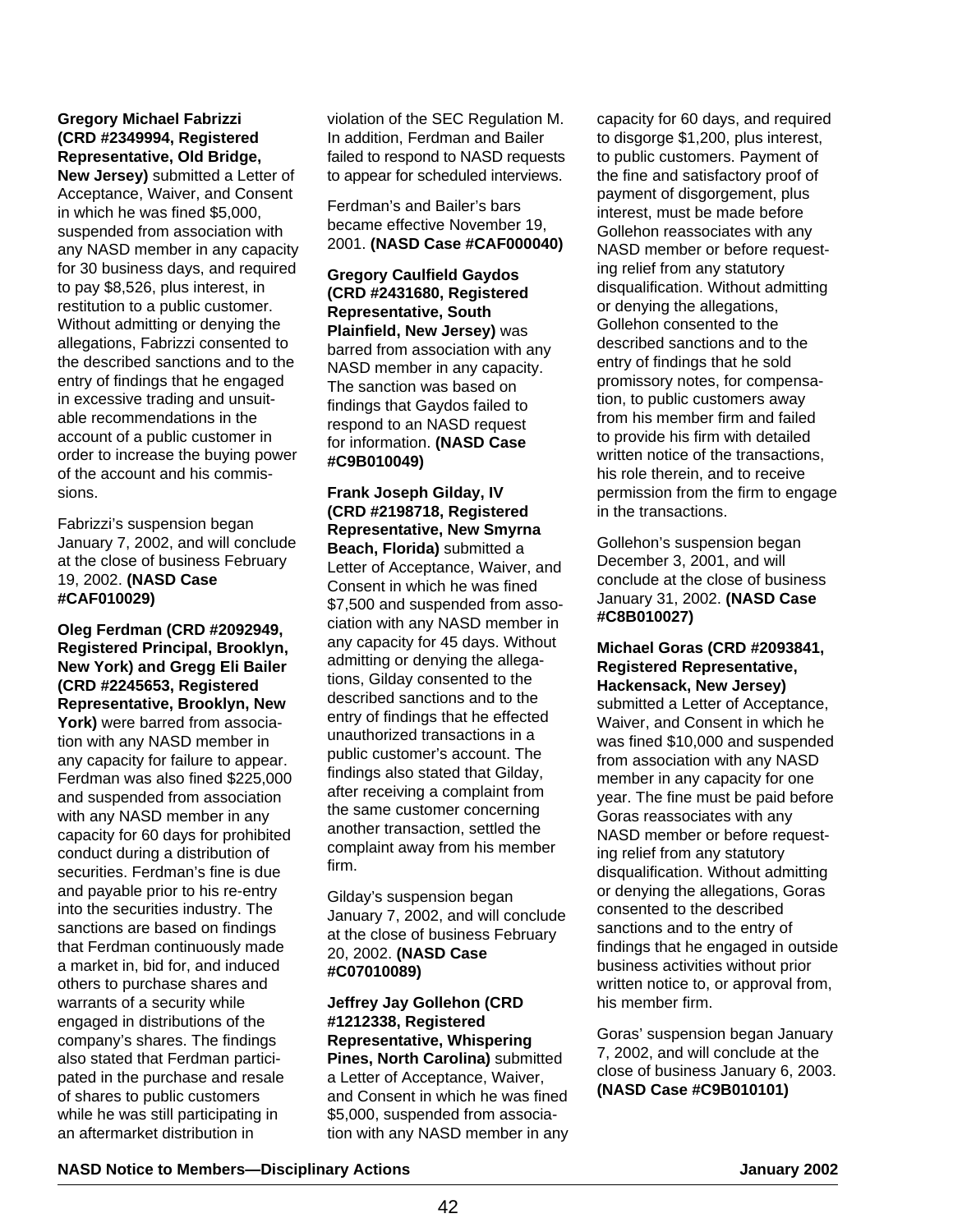## **Gregory Michael Fabrizzi (CRD #2349994, Registered Representative, Old Bridge,**

**New Jersey)** submitted a Letter of Acceptance, Waiver, and Consent in which he was fined \$5,000, suspended from association with any NASD member in any capacity for 30 business days, and required to pay \$8,526, plus interest, in restitution to a public customer. Without admitting or denying the allegations, Fabrizzi consented to the described sanctions and to the entry of findings that he engaged in excessive trading and unsuitable recommendations in the account of a public customer in order to increase the buying power of the account and his commissions.

Fabrizzi's suspension began January 7, 2002, and will conclude at the close of business February 19, 2002. **(NASD Case #CAF010029)**

**Oleg Ferdman (CRD #2092949, Registered Principal, Brooklyn, New York) and Gregg Eli Bailer (CRD #2245653, Registered Representative, Brooklyn, New York)** were barred from association with any NASD member in any capacity for failure to appear. Ferdman was also fined \$225,000 and suspended from association with any NASD member in any capacity for 60 days for prohibited conduct during a distribution of securities. Ferdman's fine is due and payable prior to his re-entry into the securities industry. The sanctions are based on findings that Ferdman continuously made a market in, bid for, and induced others to purchase shares and warrants of a security while engaged in distributions of the company's shares. The findings also stated that Ferdman participated in the purchase and resale of shares to public customers while he was still participating in an aftermarket distribution in

violation of the SEC Regulation M. In addition, Ferdman and Bailer failed to respond to NASD requests to appear for scheduled interviews.

Ferdman's and Bailer's bars became effective November 19, 2001. **(NASD Case #CAF000040)**

**Gregory Caulfield Gaydos (CRD #2431680, Registered Representative, South Plainfield, New Jersey)** was barred from association with any NASD member in any capacity. The sanction was based on findings that Gaydos failed to respond to an NASD request for information. **(NASD Case #C9B010049)** 

**Frank Joseph Gilday, IV (CRD #2198718, Registered Representative, New Smyrna Beach, Florida)** submitted a Letter of Acceptance, Waiver, and Consent in which he was fined \$7,500 and suspended from association with any NASD member in any capacity for 45 days. Without admitting or denying the allegations, Gilday consented to the described sanctions and to the entry of findings that he effected unauthorized transactions in a public customer's account. The findings also stated that Gilday, after receiving a complaint from the same customer concerning another transaction, settled the complaint away from his member firm.

Gilday's suspension began January 7, 2002, and will conclude at the close of business February 20, 2002. **(NASD Case #C07010089)**

**Jeffrey Jay Gollehon (CRD #1212338, Registered Representative, Whispering Pines, North Carolina)** submitted a Letter of Acceptance, Waiver, and Consent in which he was fined \$5,000, suspended from association with any NASD member in any capacity for 60 days, and required to disgorge \$1,200, plus interest, to public customers. Payment of the fine and satisfactory proof of payment of disgorgement, plus interest, must be made before Gollehon reassociates with any NASD member or before requesting relief from any statutory disqualification. Without admitting or denying the allegations, Gollehon consented to the described sanctions and to the entry of findings that he sold promissory notes, for compensation, to public customers away from his member firm and failed to provide his firm with detailed written notice of the transactions, his role therein, and to receive permission from the firm to engage in the transactions.

Gollehon's suspension began December 3, 2001, and will conclude at the close of business January 31, 2002. **(NASD Case #C8B010027)**

#### **Michael Goras (CRD #2093841, Registered Representative, Hackensack, New Jersey)**

submitted a Letter of Acceptance, Waiver, and Consent in which he was fined \$10,000 and suspended from association with any NASD member in any capacity for one year. The fine must be paid before Goras reassociates with any NASD member or before requesting relief from any statutory disqualification. Without admitting or denying the allegations, Goras consented to the described sanctions and to the entry of findings that he engaged in outside business activities without prior written notice to, or approval from, his member firm.

Goras' suspension began January 7, 2002, and will conclude at the close of business January 6, 2003. **(NASD Case #C9B010101)**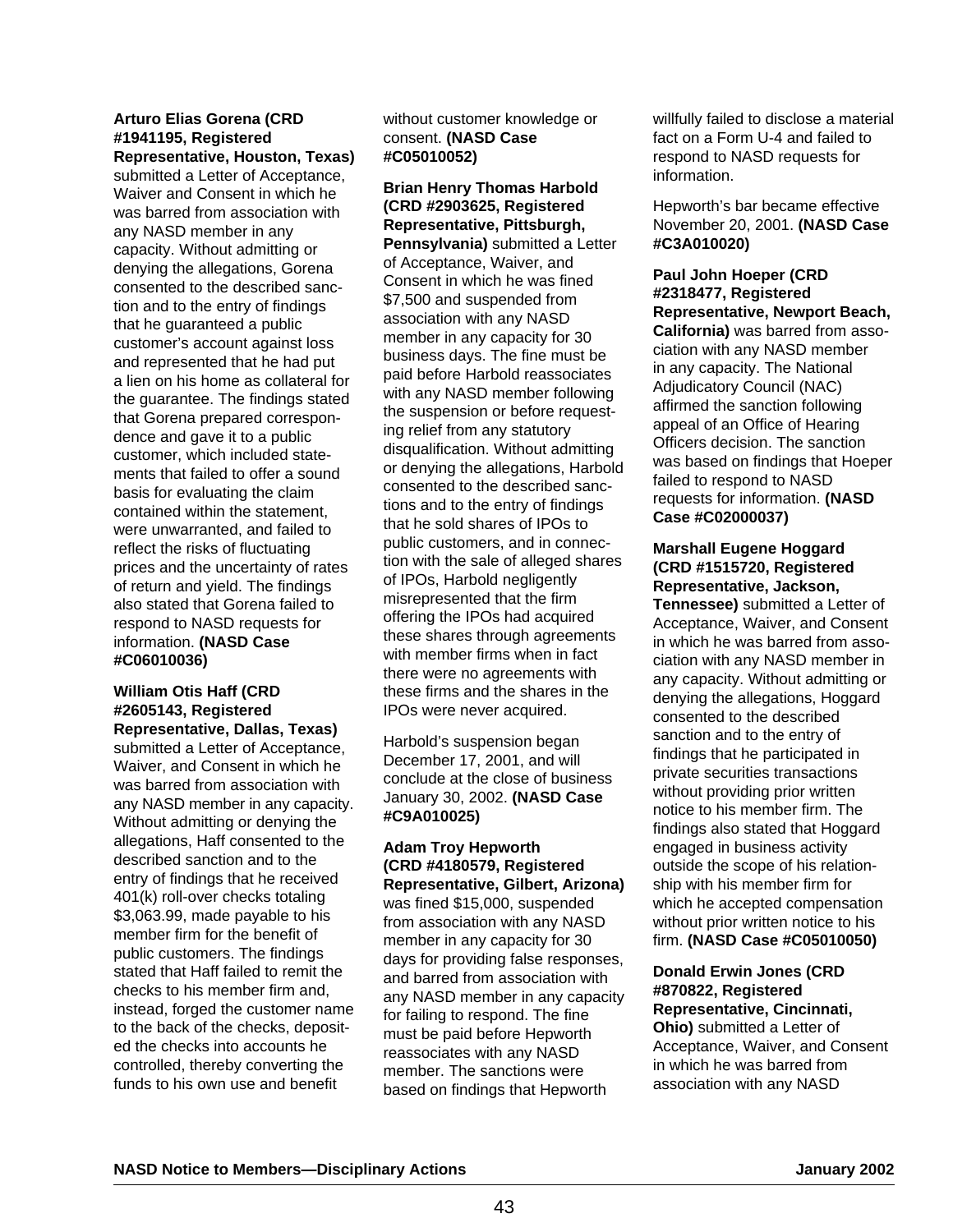#### **Arturo Elias Gorena (CRD #1941195, Registered Representative, Houston, Texas)**

submitted a Letter of Acceptance, Waiver and Consent in which he was barred from association with any NASD member in any capacity. Without admitting or denying the allegations, Gorena consented to the described sanction and to the entry of findings that he guaranteed a public customer's account against loss and represented that he had put a lien on his home as collateral for the guarantee. The findings stated that Gorena prepared correspondence and gave it to a public customer, which included statements that failed to offer a sound basis for evaluating the claim contained within the statement, were unwarranted, and failed to reflect the risks of fluctuating prices and the uncertainty of rates of return and yield. The findings also stated that Gorena failed to respond to NASD requests for information. **(NASD Case #C06010036)**

#### **William Otis Haff (CRD #2605143, Registered Representative, Dallas, Texas)**

submitted a Letter of Acceptance, Waiver, and Consent in which he was barred from association with any NASD member in any capacity. Without admitting or denying the allegations, Haff consented to the described sanction and to the entry of findings that he received 401(k) roll-over checks totaling \$3,063.99, made payable to his member firm for the benefit of public customers. The findings stated that Haff failed to remit the checks to his member firm and, instead, forged the customer name to the back of the checks, deposited the checks into accounts he controlled, thereby converting the funds to his own use and benefit

without customer knowledge or consent. **(NASD Case #C05010052)**

**Brian Henry Thomas Harbold (CRD #2903625, Registered Representative, Pittsburgh, Pennsylvania)** submitted a Letter of Acceptance, Waiver, and Consent in which he was fined \$7,500 and suspended from association with any NASD member in any capacity for 30 business days. The fine must be paid before Harbold reassociates with any NASD member following the suspension or before requesting relief from any statutory disqualification. Without admitting or denying the allegations, Harbold consented to the described sanctions and to the entry of findings that he sold shares of IPOs to public customers, and in connection with the sale of alleged shares of IPOs, Harbold negligently misrepresented that the firm offering the IPOs had acquired these shares through agreements with member firms when in fact there were no agreements with these firms and the shares in the IPOs were never acquired.

Harbold's suspension began December 17, 2001, and will conclude at the close of business January 30, 2002. **(NASD Case #C9A010025)**

#### **Adam Troy Hepworth (CRD #4180579, Registered Representative, Gilbert, Arizona)** was fined \$15,000, suspended from association with any NASD member in any capacity for 30 days for providing false responses, and barred from association with any NASD member in any capacity for failing to respond. The fine must be paid before Hepworth reassociates with any NASD member. The sanctions were based on findings that Hepworth

willfully failed to disclose a material fact on a Form U-4 and failed to respond to NASD requests for information.

Hepworth's bar became effective November 20, 2001. **(NASD Case #C3A010020)** 

#### **Paul John Hoeper (CRD #2318477, Registered Representative, Newport Beach, California)** was barred from association with any NASD member in any capacity. The National Adjudicatory Council (NAC) affirmed the sanction following appeal of an Office of Hearing Officers decision. The sanction was based on findings that Hoeper failed to respond to NASD requests for information. **(NASD Case #C02000037)**

#### **Marshall Eugene Hoggard (CRD #1515720, Registered Representative, Jackson,**

**Tennessee)** submitted a Letter of Acceptance, Waiver, and Consent in which he was barred from association with any NASD member in any capacity. Without admitting or denying the allegations, Hoggard consented to the described sanction and to the entry of findings that he participated in private securities transactions without providing prior written notice to his member firm. The findings also stated that Hoggard engaged in business activity outside the scope of his relationship with his member firm for which he accepted compensation without prior written notice to his firm. **(NASD Case #C05010050)**

## **Donald Erwin Jones (CRD #870822, Registered Representative, Cincinnati,**

**Ohio)** submitted a Letter of Acceptance, Waiver, and Consent in which he was barred from association with any NASD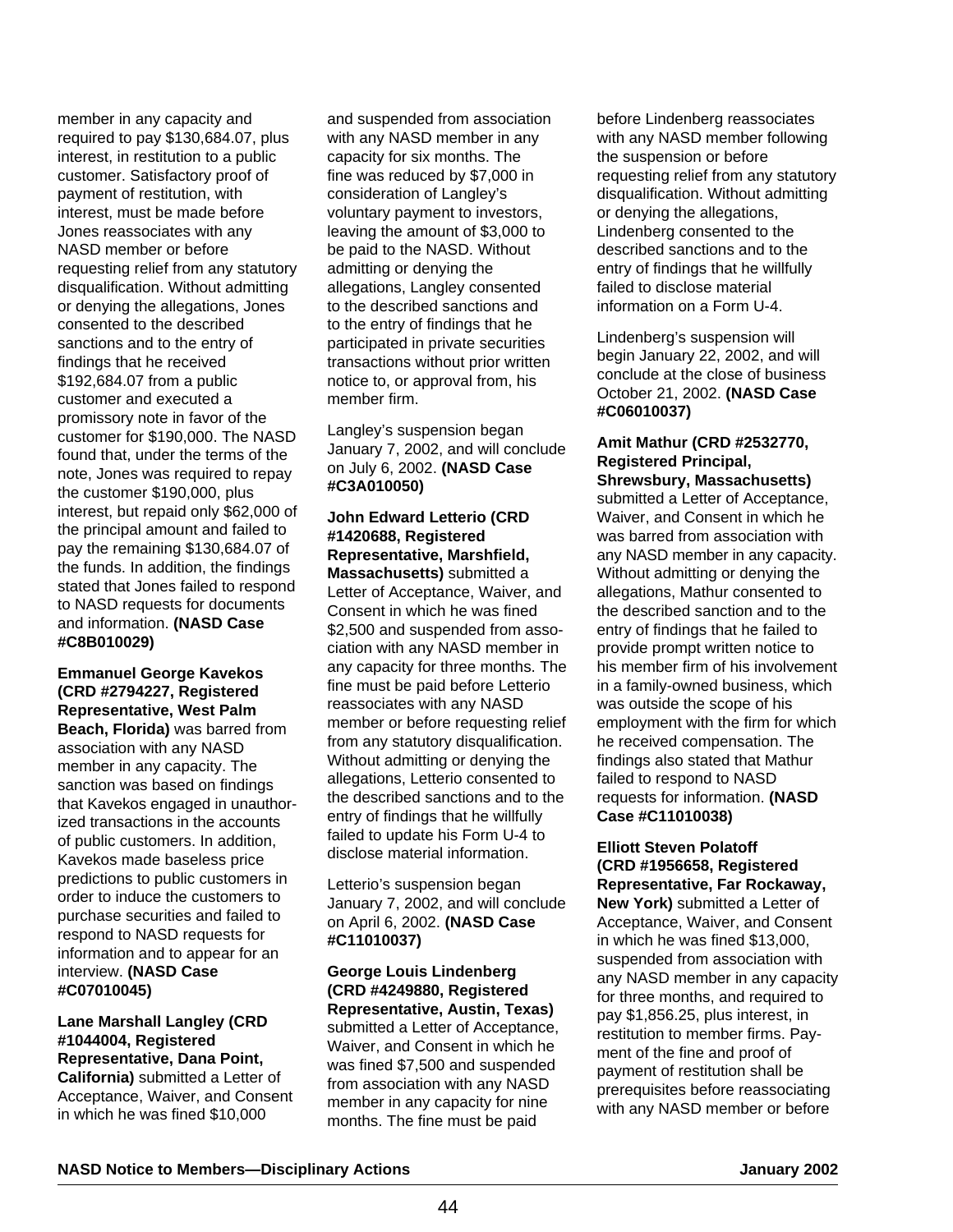member in any capacity and required to pay \$130,684.07, plus interest, in restitution to a public customer. Satisfactory proof of payment of restitution, with interest, must be made before Jones reassociates with any NASD member or before requesting relief from any statutory disqualification. Without admitting or denying the allegations, Jones consented to the described sanctions and to the entry of findings that he received \$192,684.07 from a public customer and executed a promissory note in favor of the customer for \$190,000. The NASD found that, under the terms of the note, Jones was required to repay the customer \$190,000, plus interest, but repaid only \$62,000 of the principal amount and failed to pay the remaining \$130,684.07 of the funds. In addition, the findings stated that Jones failed to respond to NASD requests for documents and information. **(NASD Case #C8B010029)**

**Emmanuel George Kavekos (CRD #2794227, Registered Representative, West Palm Beach, Florida)** was barred from association with any NASD member in any capacity. The sanction was based on findings that Kavekos engaged in unauthorized transactions in the accounts of public customers. In addition, Kavekos made baseless price predictions to public customers in order to induce the customers to purchase securities and failed to respond to NASD requests for information and to appear for an interview. **(NASD Case #C07010045)**

# **Lane Marshall Langley (CRD #1044004, Registered Representative, Dana Point,**

**California)** submitted a Letter of Acceptance, Waiver, and Consent in which he was fined \$10,000

and suspended from association with any NASD member in any capacity for six months. The fine was reduced by \$7,000 in consideration of Langley's voluntary payment to investors, leaving the amount of \$3,000 to be paid to the NASD. Without admitting or denying the allegations, Langley consented to the described sanctions and to the entry of findings that he participated in private securities transactions without prior written notice to, or approval from, his member firm.

Langley's suspension began January 7, 2002, and will conclude on July 6, 2002. **(NASD Case #C3A010050)**

#### **John Edward Letterio (CRD #1420688, Registered Representative, Marshfield, Massachusetts)** submitted a Letter of Acceptance, Waiver, and Consent in which he was fined \$2,500 and suspended from association with any NASD member in any capacity for three months. The fine must be paid before Letterio reassociates with any NASD member or before requesting relief from any statutory disqualification. Without admitting or denying the allegations, Letterio consented to the described sanctions and to the entry of findings that he willfully failed to update his Form U-4 to disclose material information.

Letterio's suspension began January 7, 2002, and will conclude on April 6, 2002. **(NASD Case #C11010037)**

**George Louis Lindenberg (CRD #4249880, Registered Representative, Austin, Texas)** submitted a Letter of Acceptance, Waiver, and Consent in which he was fined \$7,500 and suspended from association with any NASD member in any capacity for nine months. The fine must be paid

before Lindenberg reassociates with any NASD member following the suspension or before requesting relief from any statutory disqualification. Without admitting or denying the allegations, Lindenberg consented to the described sanctions and to the entry of findings that he willfully failed to disclose material information on a Form U-4.

Lindenberg's suspension will begin January 22, 2002, and will conclude at the close of business October 21, 2002. **(NASD Case #C06010037)**

#### **Amit Mathur (CRD #2532770, Registered Principal, Shrewsbury, Massachusetts)**

submitted a Letter of Acceptance, Waiver, and Consent in which he was barred from association with any NASD member in any capacity. Without admitting or denying the allegations, Mathur consented to the described sanction and to the entry of findings that he failed to provide prompt written notice to his member firm of his involvement in a family-owned business, which was outside the scope of his employment with the firm for which he received compensation. The findings also stated that Mathur failed to respond to NASD requests for information. **(NASD Case #C11010038)**

#### **Elliott Steven Polatoff (CRD #1956658, Registered Representative, Far Rockaway,**

**New York)** submitted a Letter of Acceptance, Waiver, and Consent in which he was fined \$13,000, suspended from association with any NASD member in any capacity for three months, and required to pay \$1,856.25, plus interest, in restitution to member firms. Payment of the fine and proof of payment of restitution shall be prerequisites before reassociating with any NASD member or before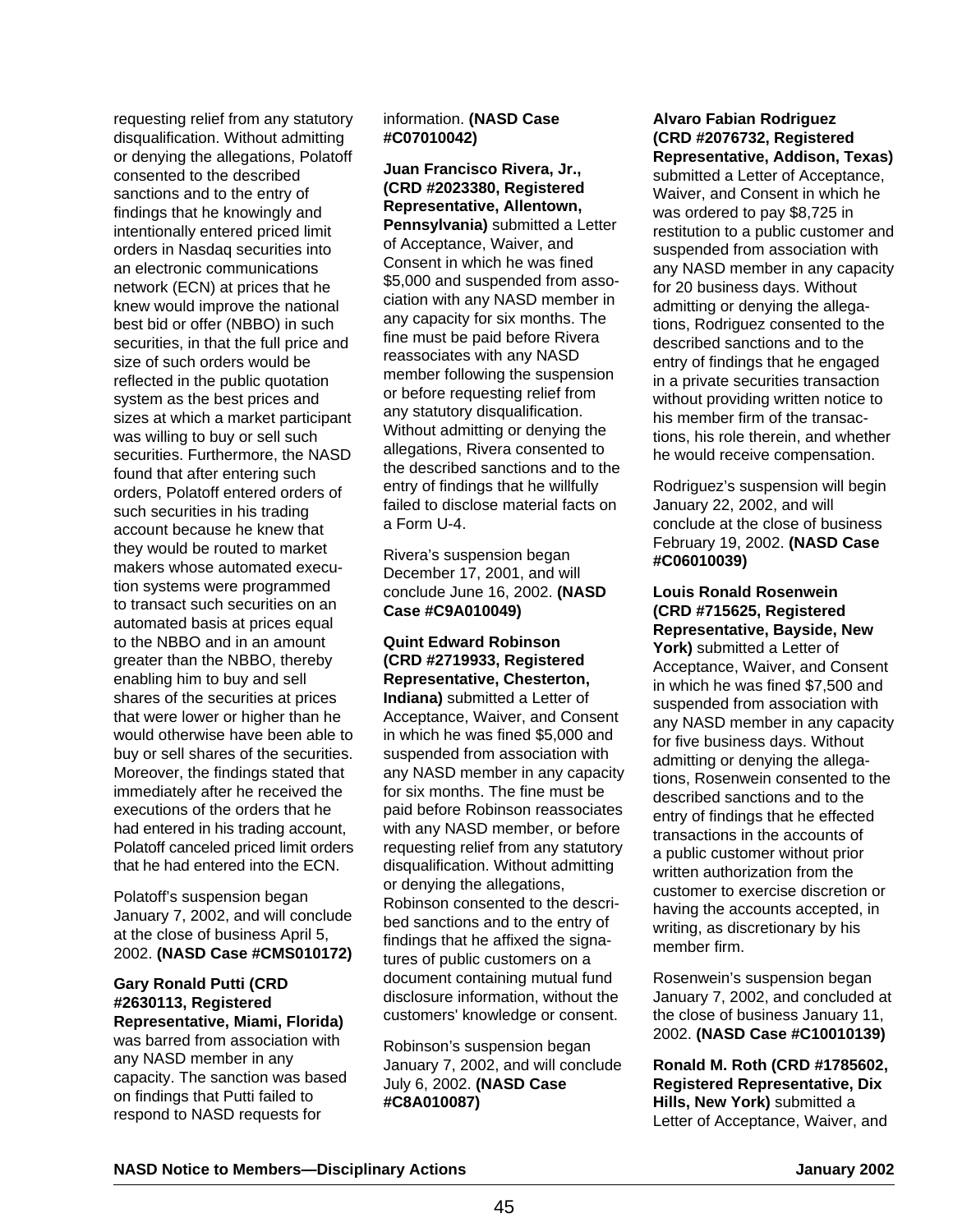requesting relief from any statutory disqualification. Without admitting or denying the allegations, Polatoff consented to the described sanctions and to the entry of findings that he knowingly and intentionally entered priced limit orders in Nasdaq securities into an electronic communications network (ECN) at prices that he knew would improve the national best bid or offer (NBBO) in such securities, in that the full price and size of such orders would be reflected in the public quotation system as the best prices and sizes at which a market participant was willing to buy or sell such securities. Furthermore, the NASD found that after entering such orders, Polatoff entered orders of such securities in his trading account because he knew that they would be routed to market makers whose automated execution systems were programmed to transact such securities on an automated basis at prices equal to the NBBO and in an amount greater than the NBBO, thereby enabling him to buy and sell shares of the securities at prices that were lower or higher than he would otherwise have been able to buy or sell shares of the securities. Moreover, the findings stated that immediately after he received the executions of the orders that he had entered in his trading account, Polatoff canceled priced limit orders that he had entered into the ECN.

Polatoff's suspension began January 7, 2002, and will conclude at the close of business April 5, 2002. **(NASD Case #CMS010172)**

#### **Gary Ronald Putti (CRD #2630113, Registered Representative, Miami, Florida)**

was barred from association with any NASD member in any capacity. The sanction was based on findings that Putti failed to respond to NASD requests for

#### information. **(NASD Case #C07010042)**

**Juan Francisco Rivera, Jr., (CRD #2023380, Registered Representative, Allentown, Pennsylvania)** submitted a Letter of Acceptance, Waiver, and Consent in which he was fined \$5,000 and suspended from association with any NASD member in any capacity for six months. The fine must be paid before Rivera reassociates with any NASD member following the suspension or before requesting relief from any statutory disqualification. Without admitting or denying the allegations, Rivera consented to the described sanctions and to the entry of findings that he willfully failed to disclose material facts on a Form U-4.

Rivera's suspension began December 17, 2001, and will conclude June 16, 2002. **(NASD Case #C9A010049)**

#### **Quint Edward Robinson (CRD #2719933, Registered Representative, Chesterton, Indiana)** submitted a Letter of Acceptance, Waiver, and Consent in which he was fined \$5,000 and suspended from association with any NASD member in any capacity for six months. The fine must be paid before Robinson reassociates with any NASD member, or before requesting relief from any statutory disqualification. Without admitting or denying the allegations, Robinson consented to the described sanctions and to the entry of findings that he affixed the signatures of public customers on a document containing mutual fund disclosure information, without the customers' knowledge or consent.

Robinson's suspension began January 7, 2002, and will conclude July 6, 2002. **(NASD Case #C8A010087)**

#### **Alvaro Fabian Rodriguez (CRD #2076732, Registered Representative, Addison, Texas)**

submitted a Letter of Acceptance, Waiver, and Consent in which he was ordered to pay \$8,725 in restitution to a public customer and suspended from association with any NASD member in any capacity for 20 business days. Without admitting or denying the allegations, Rodriguez consented to the described sanctions and to the entry of findings that he engaged in a private securities transaction without providing written notice to his member firm of the transactions, his role therein, and whether he would receive compensation.

Rodriguez's suspension will begin January 22, 2002, and will conclude at the close of business February 19, 2002. **(NASD Case #C06010039)** 

#### **Louis Ronald Rosenwein (CRD #715625, Registered Representative, Bayside, New**

York) submitted a Letter of Acceptance, Waiver, and Consent in which he was fined \$7,500 and suspended from association with any NASD member in any capacity for five business days. Without admitting or denying the allegations, Rosenwein consented to the described sanctions and to the entry of findings that he effected transactions in the accounts of a public customer without prior written authorization from the customer to exercise discretion or having the accounts accepted, in writing, as discretionary by his member firm.

Rosenwein's suspension began January 7, 2002, and concluded at the close of business January 11, 2002. **(NASD Case #C10010139)**

**Ronald M. Roth (CRD #1785602, Registered Representative, Dix Hills, New York)** submitted a Letter of Acceptance, Waiver, and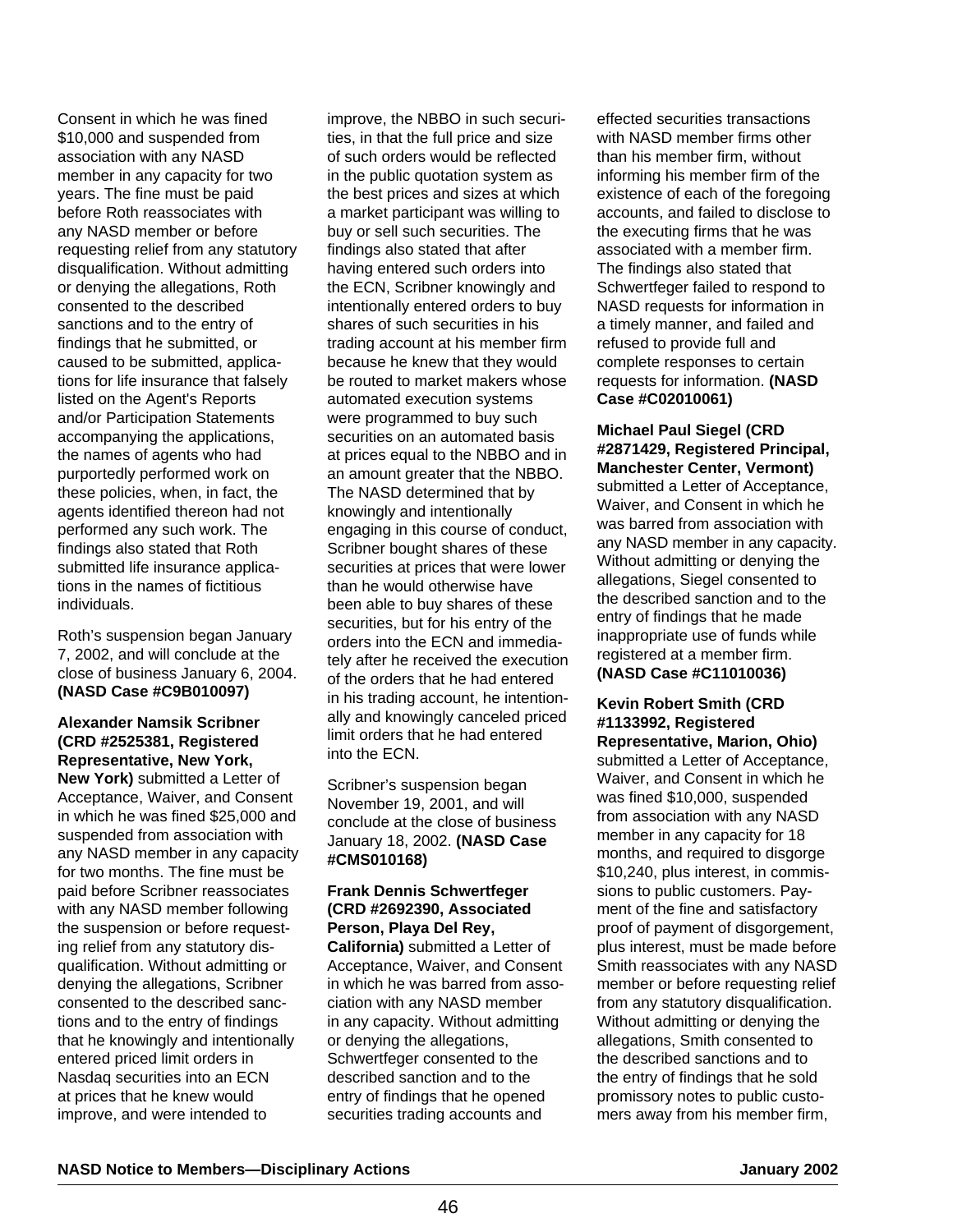Consent in which he was fined \$10,000 and suspended from association with any NASD member in any capacity for two years. The fine must be paid before Roth reassociates with any NASD member or before requesting relief from any statutory disqualification. Without admitting or denying the allegations, Roth consented to the described sanctions and to the entry of findings that he submitted, or caused to be submitted, applications for life insurance that falsely listed on the Agent's Reports and/or Participation Statements accompanying the applications, the names of agents who had purportedly performed work on these policies, when, in fact, the agents identified thereon had not performed any such work. The findings also stated that Roth submitted life insurance applications in the names of fictitious individuals.

Roth's suspension began January 7, 2002, and will conclude at the close of business January 6, 2004. **(NASD Case #C9B010097)**

#### **Alexander Namsik Scribner (CRD #2525381, Registered Representative, New York,**

**New York)** submitted a Letter of Acceptance, Waiver, and Consent in which he was fined \$25,000 and suspended from association with any NASD member in any capacity for two months. The fine must be paid before Scribner reassociates with any NASD member following the suspension or before requesting relief from any statutory disqualification. Without admitting or denying the allegations, Scribner consented to the described sanctions and to the entry of findings that he knowingly and intentionally entered priced limit orders in Nasdaq securities into an ECN at prices that he knew would improve, and were intended to

improve, the NBBO in such securities, in that the full price and size of such orders would be reflected in the public quotation system as the best prices and sizes at which a market participant was willing to buy or sell such securities. The findings also stated that after having entered such orders into the ECN, Scribner knowingly and intentionally entered orders to buy shares of such securities in his trading account at his member firm because he knew that they would be routed to market makers whose automated execution systems were programmed to buy such securities on an automated basis at prices equal to the NBBO and in an amount greater that the NBBO. The NASD determined that by knowingly and intentionally engaging in this course of conduct, Scribner bought shares of these securities at prices that were lower than he would otherwise have been able to buy shares of these securities, but for his entry of the orders into the ECN and immediately after he received the execution of the orders that he had entered in his trading account, he intentionally and knowingly canceled priced limit orders that he had entered into the ECN.

Scribner's suspension began November 19, 2001, and will conclude at the close of business January 18, 2002. **(NASD Case #CMS010168)**

#### **Frank Dennis Schwertfeger (CRD #2692390, Associated Person, Playa Del Rey,**

**California)** submitted a Letter of Acceptance, Waiver, and Consent in which he was barred from association with any NASD member in any capacity. Without admitting or denying the allegations, Schwertfeger consented to the described sanction and to the entry of findings that he opened securities trading accounts and

effected securities transactions with NASD member firms other than his member firm, without informing his member firm of the existence of each of the foregoing accounts, and failed to disclose to the executing firms that he was associated with a member firm. The findings also stated that Schwertfeger failed to respond to NASD requests for information in a timely manner, and failed and refused to provide full and complete responses to certain requests for information. **(NASD Case #C02010061)**

#### **Michael Paul Siegel (CRD #2871429, Registered Principal, Manchester Center, Vermont)**

submitted a Letter of Acceptance, Waiver, and Consent in which he was barred from association with any NASD member in any capacity. Without admitting or denying the allegations, Siegel consented to the described sanction and to the entry of findings that he made inappropriate use of funds while registered at a member firm. **(NASD Case #C11010036)** 

**Kevin Robert Smith (CRD #1133992, Registered Representative, Marion, Ohio)** submitted a Letter of Acceptance, Waiver, and Consent in which he was fined \$10,000, suspended from association with any NASD member in any capacity for 18 months, and required to disgorge \$10,240, plus interest, in commissions to public customers. Payment of the fine and satisfactory proof of payment of disgorgement, plus interest, must be made before Smith reassociates with any NASD member or before requesting relief from any statutory disqualification. Without admitting or denying the allegations, Smith consented to the described sanctions and to the entry of findings that he sold promissory notes to public customers away from his member firm,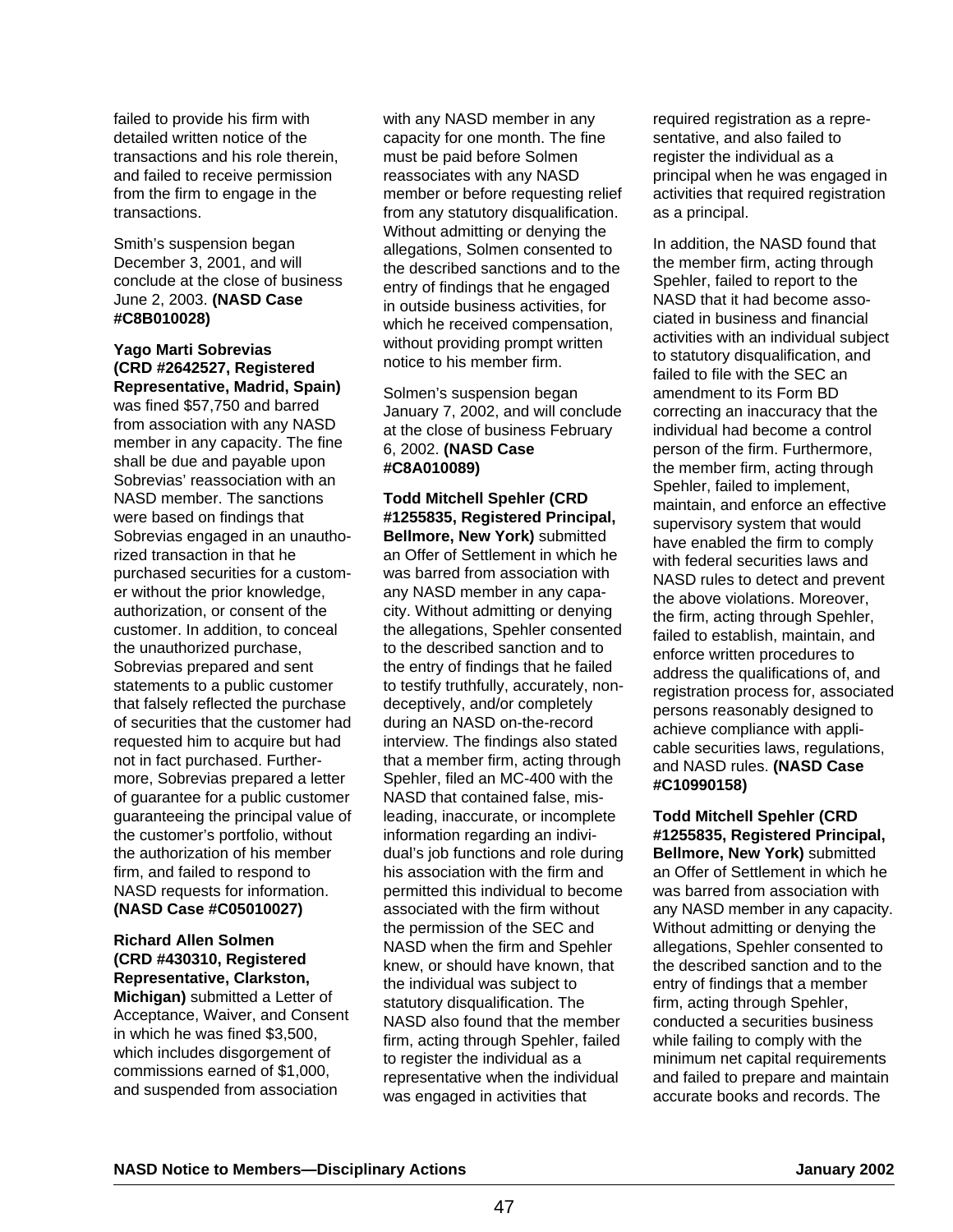failed to provide his firm with detailed written notice of the transactions and his role therein, and failed to receive permission from the firm to engage in the transactions.

Smith's suspension began December 3, 2001, and will conclude at the close of business June 2, 2003. **(NASD Case #C8B010028)**

# **Yago Marti Sobrevias (CRD #2642527, Registered Representative, Madrid, Spain)**

was fined \$57,750 and barred from association with any NASD member in any capacity. The fine shall be due and payable upon Sobrevias' reassociation with an NASD member. The sanctions were based on findings that Sobrevias engaged in an unauthorized transaction in that he purchased securities for a customer without the prior knowledge, authorization, or consent of the customer. In addition, to conceal the unauthorized purchase, Sobrevias prepared and sent statements to a public customer that falsely reflected the purchase of securities that the customer had requested him to acquire but had not in fact purchased. Furthermore, Sobrevias prepared a letter of guarantee for a public customer guaranteeing the principal value of the customer's portfolio, without the authorization of his member firm, and failed to respond to NASD requests for information. **(NASD Case #C05010027)**

## **Richard Allen Solmen (CRD #430310, Registered Representative, Clarkston,**

**Michigan)** submitted a Letter of Acceptance, Waiver, and Consent in which he was fined \$3,500, which includes disgorgement of commissions earned of \$1,000, and suspended from association

with any NASD member in any capacity for one month. The fine must be paid before Solmen reassociates with any NASD member or before requesting relief from any statutory disqualification. Without admitting or denying the allegations, Solmen consented to the described sanctions and to the entry of findings that he engaged in outside business activities, for which he received compensation, without providing prompt written notice to his member firm.

Solmen's suspension began January 7, 2002, and will conclude at the close of business February 6, 2002. **(NASD Case #C8A010089)**

**Todd Mitchell Spehler (CRD #1255835, Registered Principal, Bellmore, New York)** submitted an Offer of Settlement in which he was barred from association with any NASD member in any capacity. Without admitting or denying the allegations, Spehler consented to the described sanction and to the entry of findings that he failed to testify truthfully, accurately, nondeceptively, and/or completely during an NASD on-the-record interview. The findings also stated that a member firm, acting through Spehler, filed an MC-400 with the NASD that contained false, misleading, inaccurate, or incomplete information regarding an individual's job functions and role during his association with the firm and permitted this individual to become associated with the firm without the permission of the SEC and NASD when the firm and Spehler knew, or should have known, that the individual was subject to statutory disqualification. The NASD also found that the member firm, acting through Spehler, failed to register the individual as a representative when the individual was engaged in activities that

required registration as a representative, and also failed to register the individual as a principal when he was engaged in activities that required registration as a principal.

In addition, the NASD found that the member firm, acting through Spehler, failed to report to the NASD that it had become associated in business and financial activities with an individual subject to statutory disqualification, and failed to file with the SEC an amendment to its Form BD correcting an inaccuracy that the individual had become a control person of the firm. Furthermore, the member firm, acting through Spehler, failed to implement, maintain, and enforce an effective supervisory system that would have enabled the firm to comply with federal securities laws and NASD rules to detect and prevent the above violations. Moreover, the firm, acting through Spehler, failed to establish, maintain, and enforce written procedures to address the qualifications of, and registration process for, associated persons reasonably designed to achieve compliance with applicable securities laws, regulations, and NASD rules. **(NASD Case #C10990158)**

**Todd Mitchell Spehler (CRD #1255835, Registered Principal, Bellmore, New York)** submitted an Offer of Settlement in which he was barred from association with any NASD member in any capacity. Without admitting or denying the allegations, Spehler consented to the described sanction and to the entry of findings that a member firm, acting through Spehler, conducted a securities business while failing to comply with the minimum net capital requirements and failed to prepare and maintain accurate books and records. The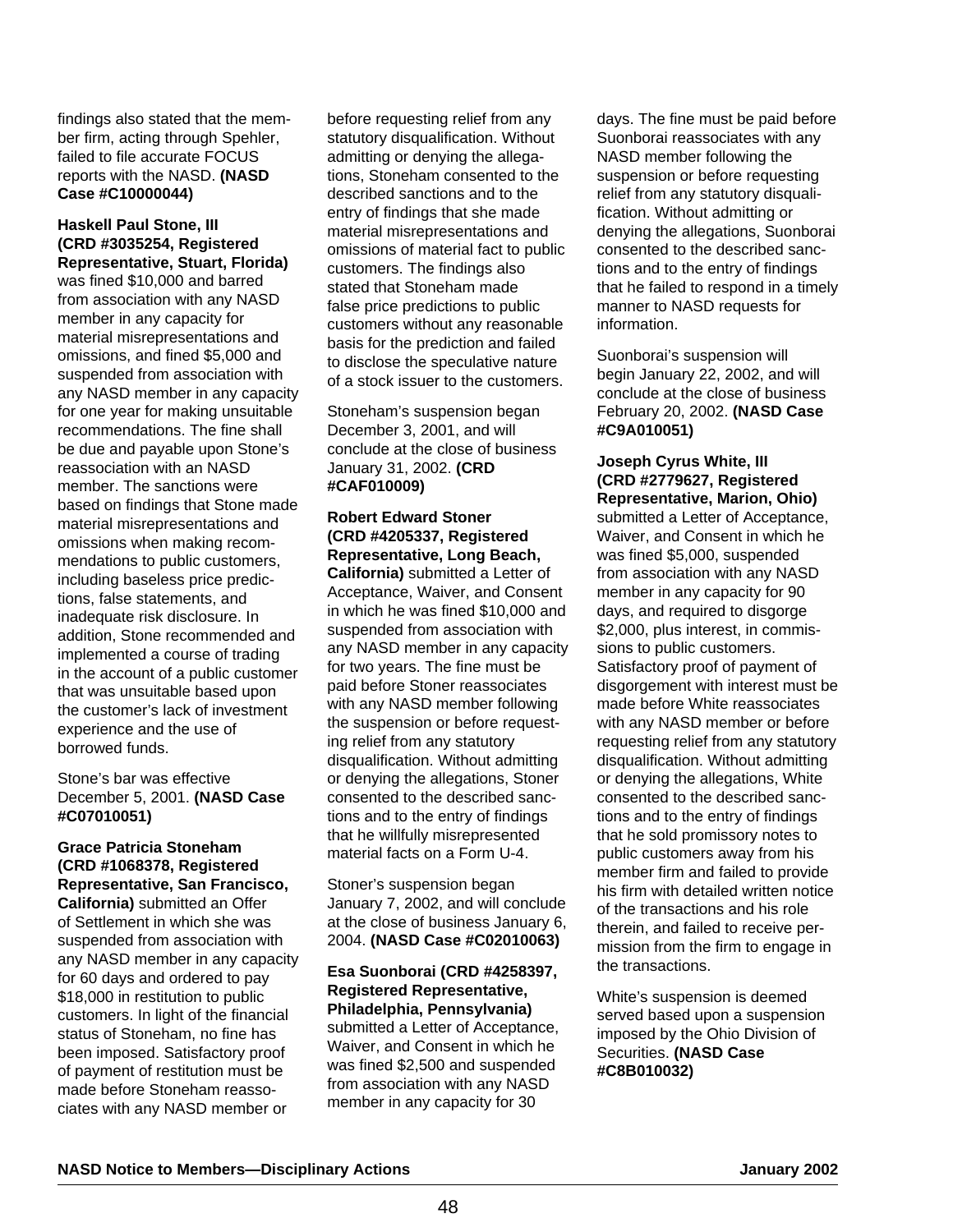findings also stated that the member firm, acting through Spehler, failed to file accurate FOCUS reports with the NASD. **(NASD Case #C10000044)**

#### **Haskell Paul Stone, III (CRD #3035254, Registered Representative, Stuart, Florida)**

was fined \$10,000 and barred from association with any NASD member in any capacity for material misrepresentations and omissions, and fined \$5,000 and suspended from association with any NASD member in any capacity for one year for making unsuitable recommendations. The fine shall be due and payable upon Stone's reassociation with an NASD member. The sanctions were based on findings that Stone made material misrepresentations and omissions when making recommendations to public customers, including baseless price predictions, false statements, and inadequate risk disclosure. In addition, Stone recommended and implemented a course of trading in the account of a public customer that was unsuitable based upon the customer's lack of investment experience and the use of borrowed funds.

#### Stone's bar was effective December 5, 2001. **(NASD Case #C07010051)**

#### **Grace Patricia Stoneham (CRD #1068378, Registered Representative, San Francisco,**

**California)** submitted an Offer of Settlement in which she was suspended from association with any NASD member in any capacity for 60 days and ordered to pay \$18,000 in restitution to public customers. In light of the financial status of Stoneham, no fine has been imposed. Satisfactory proof of payment of restitution must be made before Stoneham reassociates with any NASD member or

before requesting relief from any statutory disqualification. Without admitting or denying the allegations, Stoneham consented to the described sanctions and to the entry of findings that she made material misrepresentations and omissions of material fact to public customers. The findings also stated that Stoneham made false price predictions to public customers without any reasonable basis for the prediction and failed to disclose the speculative nature of a stock issuer to the customers.

Stoneham's suspension began December 3, 2001, and will conclude at the close of business January 31, 2002. **(CRD #CAF010009)**

#### **Robert Edward Stoner (CRD #4205337, Registered Representative, Long Beach,**

**California)** submitted a Letter of Acceptance, Waiver, and Consent in which he was fined \$10,000 and suspended from association with any NASD member in any capacity for two years. The fine must be paid before Stoner reassociates with any NASD member following the suspension or before requesting relief from any statutory disqualification. Without admitting or denying the allegations, Stoner consented to the described sanctions and to the entry of findings that he willfully misrepresented material facts on a Form U-4.

Stoner's suspension began January 7, 2002, and will conclude at the close of business January 6, 2004. **(NASD Case #C02010063)** 

#### **Esa Suonborai (CRD #4258397, Registered Representative, Philadelphia, Pennsylvania)**

submitted a Letter of Acceptance, Waiver, and Consent in which he was fined \$2,500 and suspended from association with any NASD member in any capacity for 30

days. The fine must be paid before Suonborai reassociates with any NASD member following the suspension or before requesting relief from any statutory disqualification. Without admitting or denying the allegations, Suonborai consented to the described sanctions and to the entry of findings that he failed to respond in a timely manner to NASD requests for information.

Suonborai's suspension will begin January 22, 2002, and will conclude at the close of business February 20, 2002. **(NASD Case #C9A010051)**

**Joseph Cyrus White, III (CRD #2779627, Registered Representative, Marion, Ohio)** submitted a Letter of Acceptance, Waiver, and Consent in which he was fined \$5,000, suspended from association with any NASD member in any capacity for 90 days, and required to disgorge \$2,000, plus interest, in commissions to public customers. Satisfactory proof of payment of disgorgement with interest must be made before White reassociates with any NASD member or before requesting relief from any statutory disqualification. Without admitting or denying the allegations, White consented to the described sanctions and to the entry of findings that he sold promissory notes to public customers away from his member firm and failed to provide his firm with detailed written notice of the transactions and his role therein, and failed to receive permission from the firm to engage in the transactions.

White's suspension is deemed served based upon a suspension imposed by the Ohio Division of Securities. **(NASD Case #C8B010032)**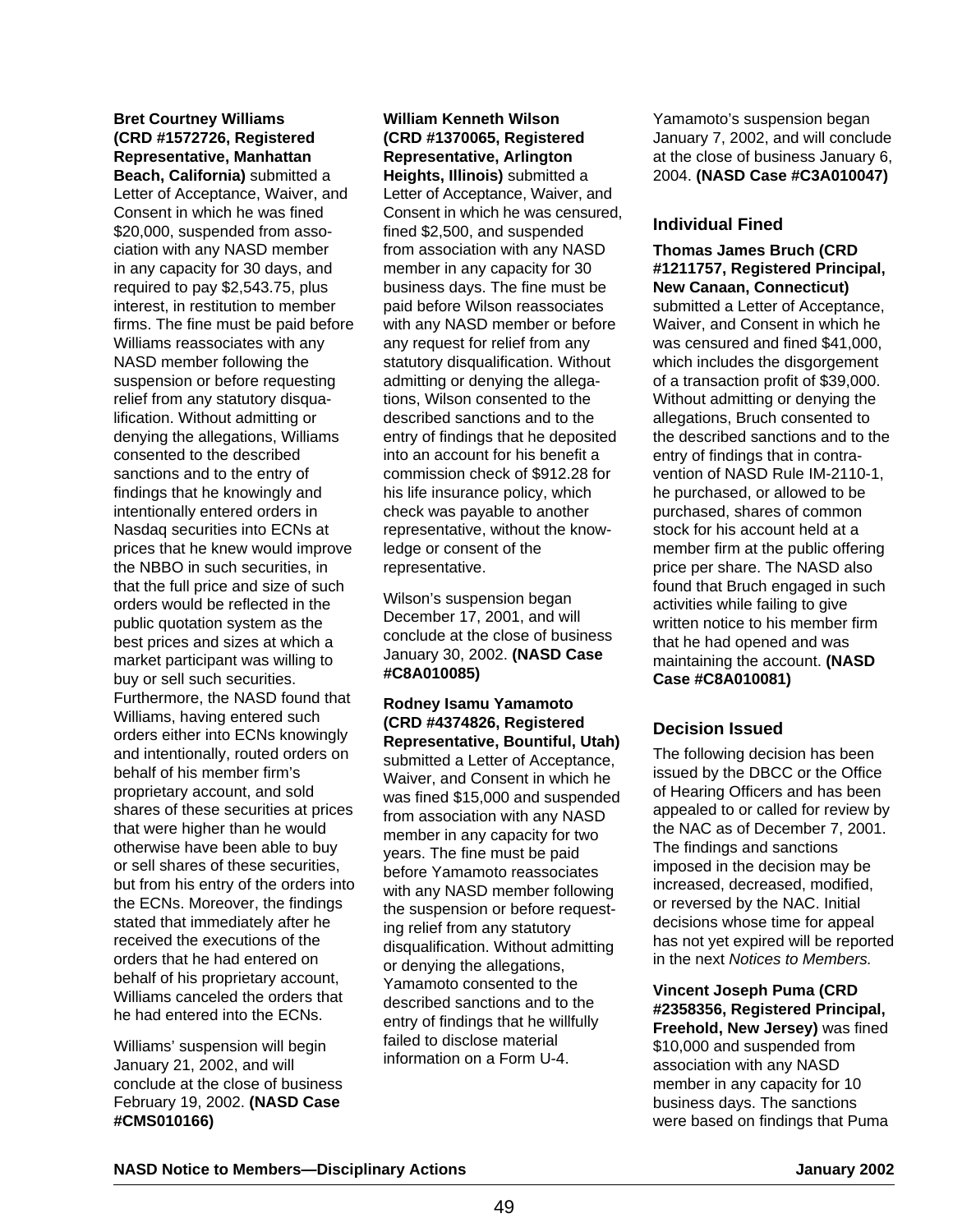# **Bret Courtney Williams (CRD #1572726, Registered Representative, Manhattan**

**Beach, California)** submitted a Letter of Acceptance, Waiver, and Consent in which he was fined \$20,000, suspended from association with any NASD member in any capacity for 30 days, and required to pay \$2,543.75, plus interest, in restitution to member firms. The fine must be paid before Williams reassociates with any NASD member following the suspension or before requesting relief from any statutory disqualification. Without admitting or denying the allegations, Williams consented to the described sanctions and to the entry of findings that he knowingly and intentionally entered orders in Nasdaq securities into ECNs at prices that he knew would improve the NBBO in such securities, in that the full price and size of such orders would be reflected in the public quotation system as the best prices and sizes at which a market participant was willing to buy or sell such securities. Furthermore, the NASD found that Williams, having entered such orders either into ECNs knowingly and intentionally, routed orders on behalf of his member firm's proprietary account, and sold shares of these securities at prices that were higher than he would otherwise have been able to buy or sell shares of these securities, but from his entry of the orders into the ECNs. Moreover, the findings stated that immediately after he received the executions of the orders that he had entered on behalf of his proprietary account, Williams canceled the orders that he had entered into the ECNs.

Williams' suspension will begin January 21, 2002, and will conclude at the close of business February 19, 2002. **(NASD Case #CMS010166)**

# **William Kenneth Wilson (CRD #1370065, Registered Representative, Arlington**

**Heights, Illinois)** submitted a Letter of Acceptance, Waiver, and Consent in which he was censured, fined \$2,500, and suspended from association with any NASD member in any capacity for 30 business days. The fine must be paid before Wilson reassociates with any NASD member or before any request for relief from any statutory disqualification. Without admitting or denying the allegations, Wilson consented to the described sanctions and to the entry of findings that he deposited into an account for his benefit a commission check of \$912.28 for his life insurance policy, which check was payable to another representative, without the knowledge or consent of the representative.

Wilson's suspension began December 17, 2001, and will conclude at the close of business January 30, 2002. **(NASD Case #C8A010085)**

**Rodney Isamu Yamamoto (CRD #4374826, Registered Representative, Bountiful, Utah)** submitted a Letter of Acceptance, Waiver, and Consent in which he was fined \$15,000 and suspended from association with any NASD member in any capacity for two years. The fine must be paid before Yamamoto reassociates with any NASD member following the suspension or before requesting relief from any statutory disqualification. Without admitting or denying the allegations, Yamamoto consented to the described sanctions and to the entry of findings that he willfully failed to disclose material information on a Form U-4.

Yamamoto's suspension began January 7, 2002, and will conclude at the close of business January 6, 2004. **(NASD Case #C3A010047)**

# **Individual Fined**

**Thomas James Bruch (CRD #1211757, Registered Principal, New Canaan, Connecticut)** submitted a Letter of Acceptance, Waiver, and Consent in which he was censured and fined \$41,000, which includes the disgorgement of a transaction profit of \$39,000. Without admitting or denying the allegations, Bruch consented to the described sanctions and to the entry of findings that in contravention of NASD Rule IM-2110-1, he purchased, or allowed to be purchased, shares of common stock for his account held at a member firm at the public offering price per share. The NASD also found that Bruch engaged in such activities while failing to give written notice to his member firm that he had opened and was maintaining the account. **(NASD Case #C8A010081)**

# **Decision Issued**

The following decision has been issued by the DBCC or the Office of Hearing Officers and has been appealed to or called for review by the NAC as of December 7, 2001. The findings and sanctions imposed in the decision may be increased, decreased, modified, or reversed by the NAC. Initial decisions whose time for appeal has not yet expired will be reported in the next Notices to Members.

**Vincent Joseph Puma (CRD #2358356, Registered Principal, Freehold, New Jersey)** was fined \$10,000 and suspended from association with any NASD member in any capacity for 10 business days. The sanctions were based on findings that Puma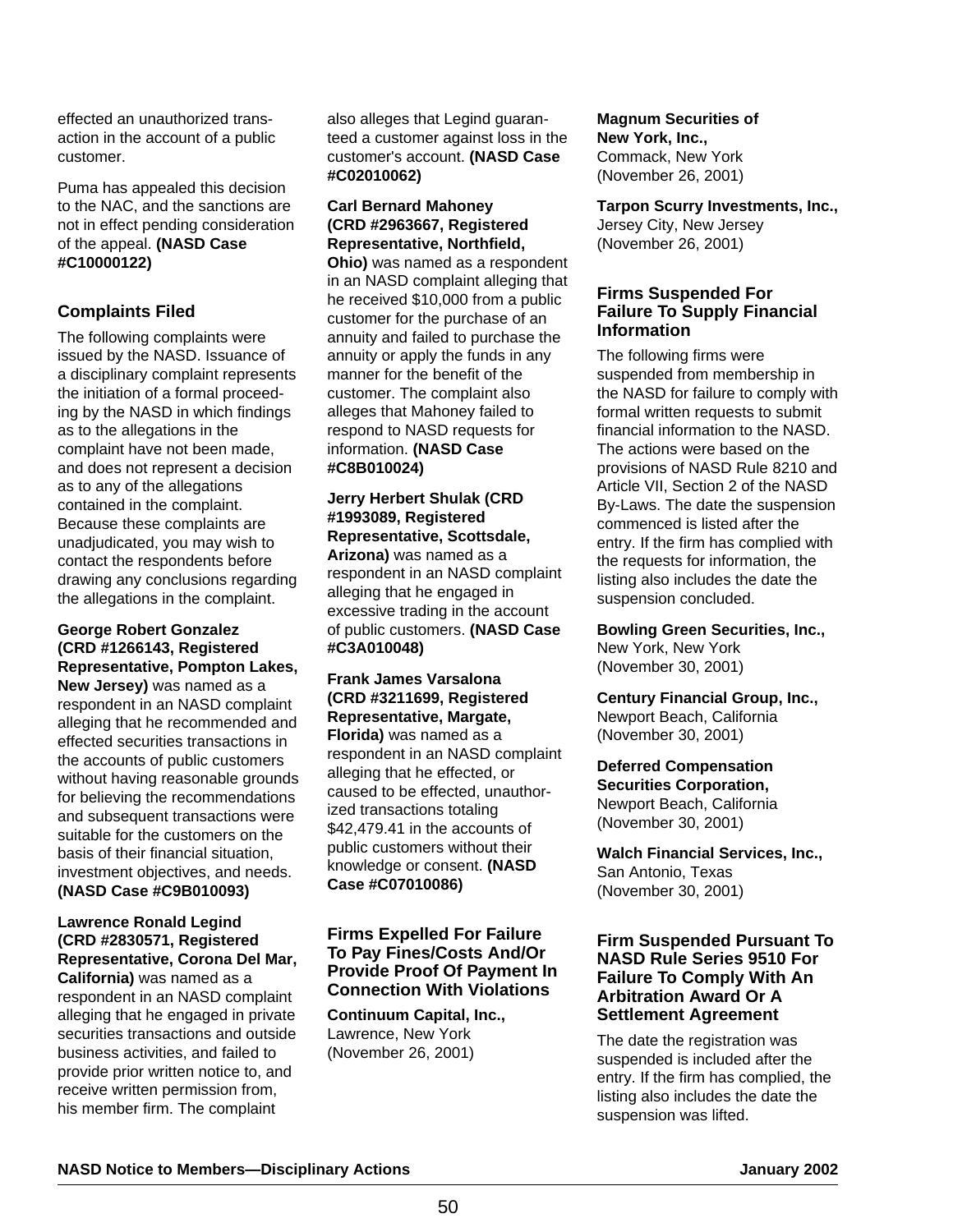effected an unauthorized transaction in the account of a public customer.

Puma has appealed this decision to the NAC, and the sanctions are not in effect pending consideration of the appeal. **(NASD Case #C10000122)**

# **Complaints Filed**

The following complaints were issued by the NASD. Issuance of a disciplinary complaint represents the initiation of a formal proceeding by the NASD in which findings as to the allegations in the complaint have not been made, and does not represent a decision as to any of the allegations contained in the complaint. Because these complaints are unadjudicated, you may wish to contact the respondents before drawing any conclusions regarding the allegations in the complaint.

#### **George Robert Gonzalez (CRD #1266143, Registered Representative, Pompton Lakes,**

**New Jersey)** was named as a respondent in an NASD complaint alleging that he recommended and effected securities transactions in the accounts of public customers without having reasonable grounds for believing the recommendations and subsequent transactions were suitable for the customers on the basis of their financial situation, investment objectives, and needs. **(NASD Case #C9B010093)**

#### **Lawrence Ronald Legind (CRD #2830571, Registered Representative, Corona Del Mar,**

**California)** was named as a respondent in an NASD complaint alleging that he engaged in private securities transactions and outside business activities, and failed to provide prior written notice to, and receive written permission from, his member firm. The complaint

also alleges that Legind guaranteed a customer against loss in the customer's account. **(NASD Case #C02010062)** 

# **Carl Bernard Mahoney (CRD #2963667, Registered Representative, Northfield,**

**Ohio)** was named as a respondent in an NASD complaint alleging that he received \$10,000 from a public customer for the purchase of an annuity and failed to purchase the annuity or apply the funds in any manner for the benefit of the customer. The complaint also alleges that Mahoney failed to respond to NASD requests for information. **(NASD Case #C8B010024)**

#### **Jerry Herbert Shulak (CRD #1993089, Registered Representative, Scottsdale, Arizona)** was named as a respondent in an NASD complaint alleging that he engaged in excessive trading in the account of public customers. **(NASD Case #C3A010048)**

**Frank James Varsalona (CRD #3211699, Registered Representative, Margate, Florida)** was named as a respondent in an NASD complaint alleging that he effected, or caused to be effected, unauthorized transactions totaling \$42,479.41 in the accounts of public customers without their knowledge or consent. **(NASD Case #C07010086)**

#### **Firms Expelled For Failure To Pay Fines/Costs And/Or Provide Proof Of Payment In Connection With Violations**

**Continuum Capital, Inc.,** Lawrence, New York (November 26, 2001)

#### **Magnum Securities of New York, Inc.,** Commack, New York (November 26, 2001)

**Tarpon Scurry Investments, Inc.,** Jersey City, New Jersey (November 26, 2001)

#### **Firms Suspended For Failure To Supply Financial Information**

The following firms were suspended from membership in the NASD for failure to comply with formal written requests to submit financial information to the NASD. The actions were based on the provisions of NASD Rule 8210 and Article VII, Section 2 of the NASD By-Laws. The date the suspension commenced is listed after the entry. If the firm has complied with the requests for information, the listing also includes the date the suspension concluded.

**Bowling Green Securities, Inc.,** New York, New York (November 30, 2001)

**Century Financial Group, Inc.,** Newport Beach, California (November 30, 2001)

# **Deferred Compensation**

**Securities Corporation,**  Newport Beach, California (November 30, 2001)

**Walch Financial Services, Inc.,** San Antonio, Texas (November 30, 2001)

#### **Firm Suspended Pursuant To NASD Rule Series 9510 For Failure To Comply With An Arbitration Award Or A Settlement Agreement**

The date the registration was suspended is included after the entry. If the firm has complied, the listing also includes the date the suspension was lifted.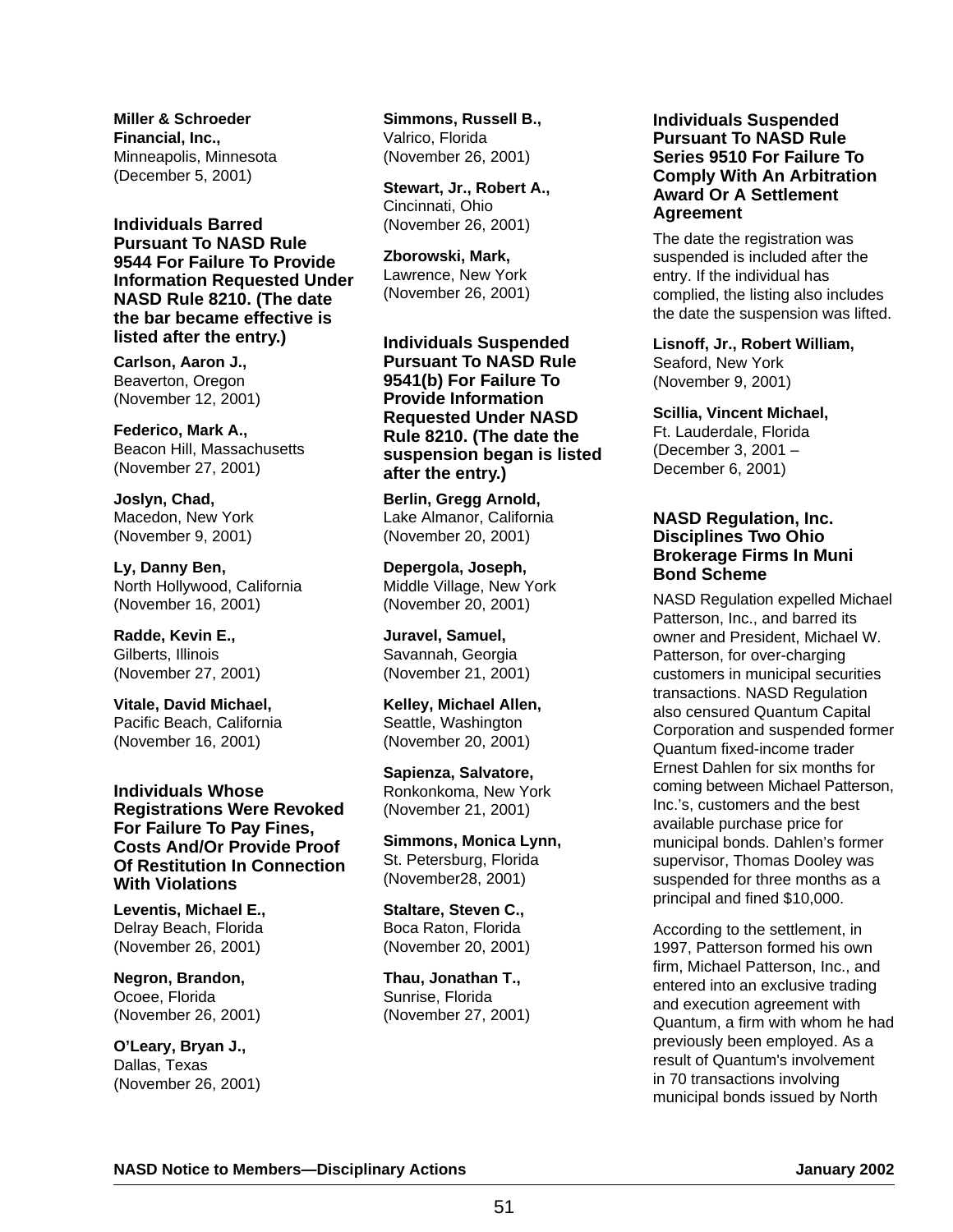**Miller & Schroeder Financial, Inc.,** Minneapolis, Minnesota (December 5, 2001)

**Individuals Barred Pursuant To NASD Rule 9544 For Failure To Provide Information Requested Under NASD Rule 8210. (The date the bar became effective is listed after the entry.)**

**Carlson, Aaron J.,** Beaverton, Oregon (November 12, 2001)

**Federico, Mark A.,** Beacon Hill, Massachusetts (November 27, 2001)

**Joslyn, Chad,** Macedon, New York (November 9, 2001)

**Ly, Danny Ben,** North Hollywood, California (November 16, 2001)

**Radde, Kevin E.,** Gilberts, Illinois (November 27, 2001)

**Vitale, David Michael,** Pacific Beach, California (November 16, 2001)

**Individuals Whose Registrations Were Revoked For Failure To Pay Fines, Costs And/Or Provide Proof Of Restitution In Connection With Violations**

**Leventis, Michael E.,** Delray Beach, Florida (November 26, 2001)

**Negron, Brandon,** Ocoee, Florida (November 26, 2001)

**O'Leary, Bryan J.,** Dallas, Texas (November 26, 2001) **Simmons, Russell B.,** Valrico, Florida (November 26, 2001)

**Stewart, Jr., Robert A.,** Cincinnati, Ohio (November 26, 2001)

**Zborowski, Mark,** Lawrence, New York (November 26, 2001)

**Individuals Suspended Pursuant To NASD Rule 9541(b) For Failure To Provide Information Requested Under NASD Rule 8210. (The date the suspension began is listed after the entry.)**

**Berlin, Gregg Arnold,** Lake Almanor, California (November 20, 2001)

**Depergola, Joseph,** Middle Village, New York (November 20, 2001)

**Juravel, Samuel,** Savannah, Georgia (November 21, 2001)

**Kelley, Michael Allen,** Seattle, Washington (November 20, 2001)

**Sapienza, Salvatore,** Ronkonkoma, New York (November 21, 2001)

**Simmons, Monica Lynn,** St. Petersburg, Florida (November28, 2001)

**Staltare, Steven C.,** Boca Raton, Florida (November 20, 2001)

**Thau, Jonathan T.,** Sunrise, Florida (November 27, 2001)

#### **Individuals Suspended Pursuant To NASD Rule Series 9510 For Failure To Comply With An Arbitration Award Or A Settlement Agreement**

The date the registration was suspended is included after the entry. If the individual has complied, the listing also includes the date the suspension was lifted.

**Lisnoff, Jr., Robert William,**

Seaford, New York (November 9, 2001)

**Scillia, Vincent Michael,**

Ft. Lauderdale, Florida (December 3, 2001 – December 6, 2001)

#### **NASD Regulation, Inc. Disciplines Two Ohio Brokerage Firms In Muni Bond Scheme**

NASD Regulation expelled Michael Patterson, Inc., and barred its owner and President, Michael W. Patterson, for over-charging customers in municipal securities transactions. NASD Regulation also censured Quantum Capital Corporation and suspended former Quantum fixed-income trader Ernest Dahlen for six months for coming between Michael Patterson, Inc.'s, customers and the best available purchase price for municipal bonds. Dahlen's former supervisor, Thomas Dooley was suspended for three months as a principal and fined \$10,000.

According to the settlement, in 1997, Patterson formed his own firm, Michael Patterson, Inc., and entered into an exclusive trading and execution agreement with Quantum, a firm with whom he had previously been employed. As a result of Quantum's involvement in 70 transactions involving municipal bonds issued by North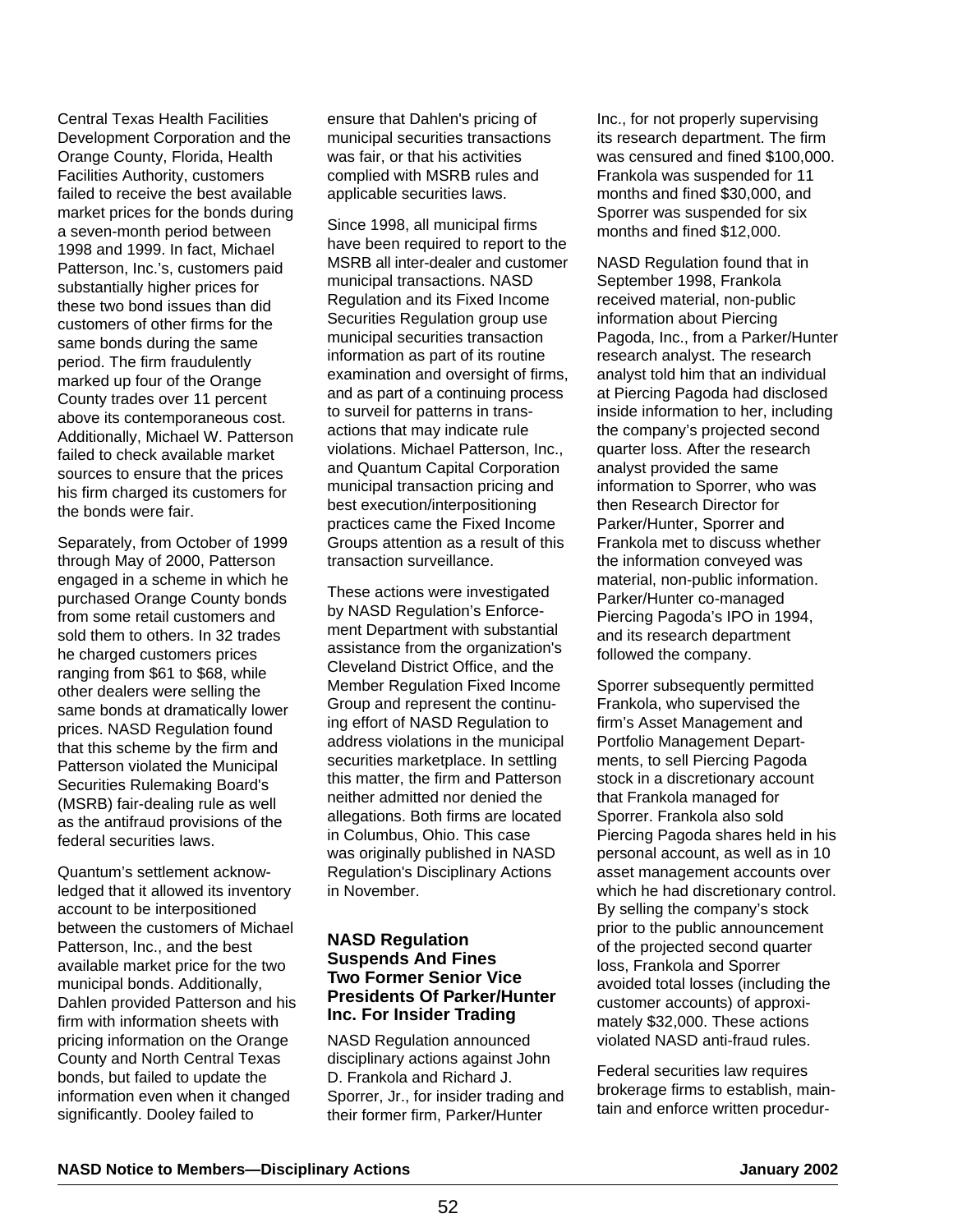Central Texas Health Facilities Development Corporation and the Orange County, Florida, Health Facilities Authority, customers failed to receive the best available market prices for the bonds during a seven-month period between 1998 and 1999. In fact, Michael Patterson, Inc.'s, customers paid substantially higher prices for these two bond issues than did customers of other firms for the same bonds during the same period. The firm fraudulently marked up four of the Orange County trades over 11 percent above its contemporaneous cost. Additionally, Michael W. Patterson failed to check available market sources to ensure that the prices his firm charged its customers for the bonds were fair.

Separately, from October of 1999 through May of 2000, Patterson engaged in a scheme in which he purchased Orange County bonds from some retail customers and sold them to others. In 32 trades he charged customers prices ranging from \$61 to \$68, while other dealers were selling the same bonds at dramatically lower prices. NASD Regulation found that this scheme by the firm and Patterson violated the Municipal Securities Rulemaking Board's (MSRB) fair-dealing rule as well as the antifraud provisions of the federal securities laws.

Quantum's settlement acknowledged that it allowed its inventory account to be interpositioned between the customers of Michael Patterson, Inc., and the best available market price for the two municipal bonds. Additionally, Dahlen provided Patterson and his firm with information sheets with pricing information on the Orange County and North Central Texas bonds, but failed to update the information even when it changed significantly. Dooley failed to

ensure that Dahlen's pricing of municipal securities transactions was fair, or that his activities complied with MSRB rules and applicable securities laws.

Since 1998, all municipal firms have been required to report to the MSRB all inter-dealer and customer municipal transactions. NASD Regulation and its Fixed Income Securities Regulation group use municipal securities transaction information as part of its routine examination and oversight of firms, and as part of a continuing process to surveil for patterns in transactions that may indicate rule violations. Michael Patterson, Inc., and Quantum Capital Corporation municipal transaction pricing and best execution/interpositioning practices came the Fixed Income Groups attention as a result of this transaction surveillance.

These actions were investigated by NASD Regulation's Enforcement Department with substantial assistance from the organization's Cleveland District Office, and the Member Regulation Fixed Income Group and represent the continuing effort of NASD Regulation to address violations in the municipal securities marketplace. In settling this matter, the firm and Patterson neither admitted nor denied the allegations. Both firms are located in Columbus, Ohio. This case was originally published in NASD Regulation's Disciplinary Actions in November.

#### **NASD Regulation Suspends And Fines Two Former Senior Vice Presidents Of Parker/Hunter Inc. For Insider Trading**

NASD Regulation announced disciplinary actions against John D. Frankola and Richard J. Sporrer, Jr., for insider trading and their former firm, Parker/Hunter

Inc., for not properly supervising its research department. The firm was censured and fined \$100,000. Frankola was suspended for 11 months and fined \$30,000, and Sporrer was suspended for six months and fined \$12,000.

NASD Regulation found that in September 1998, Frankola received material, non-public information about Piercing Pagoda, Inc., from a Parker/Hunter research analyst. The research analyst told him that an individual at Piercing Pagoda had disclosed inside information to her, including the company's projected second quarter loss. After the research analyst provided the same information to Sporrer, who was then Research Director for Parker/Hunter, Sporrer and Frankola met to discuss whether the information conveyed was material, non-public information. Parker/Hunter co-managed Piercing Pagoda's IPO in 1994, and its research department followed the company.

Sporrer subsequently permitted Frankola, who supervised the firm's Asset Management and Portfolio Management Departments, to sell Piercing Pagoda stock in a discretionary account that Frankola managed for Sporrer. Frankola also sold Piercing Pagoda shares held in his personal account, as well as in 10 asset management accounts over which he had discretionary control. By selling the company's stock prior to the public announcement of the projected second quarter loss, Frankola and Sporrer avoided total losses (including the customer accounts) of approximately \$32,000. These actions violated NASD anti-fraud rules.

Federal securities law requires brokerage firms to establish, maintain and enforce written procedur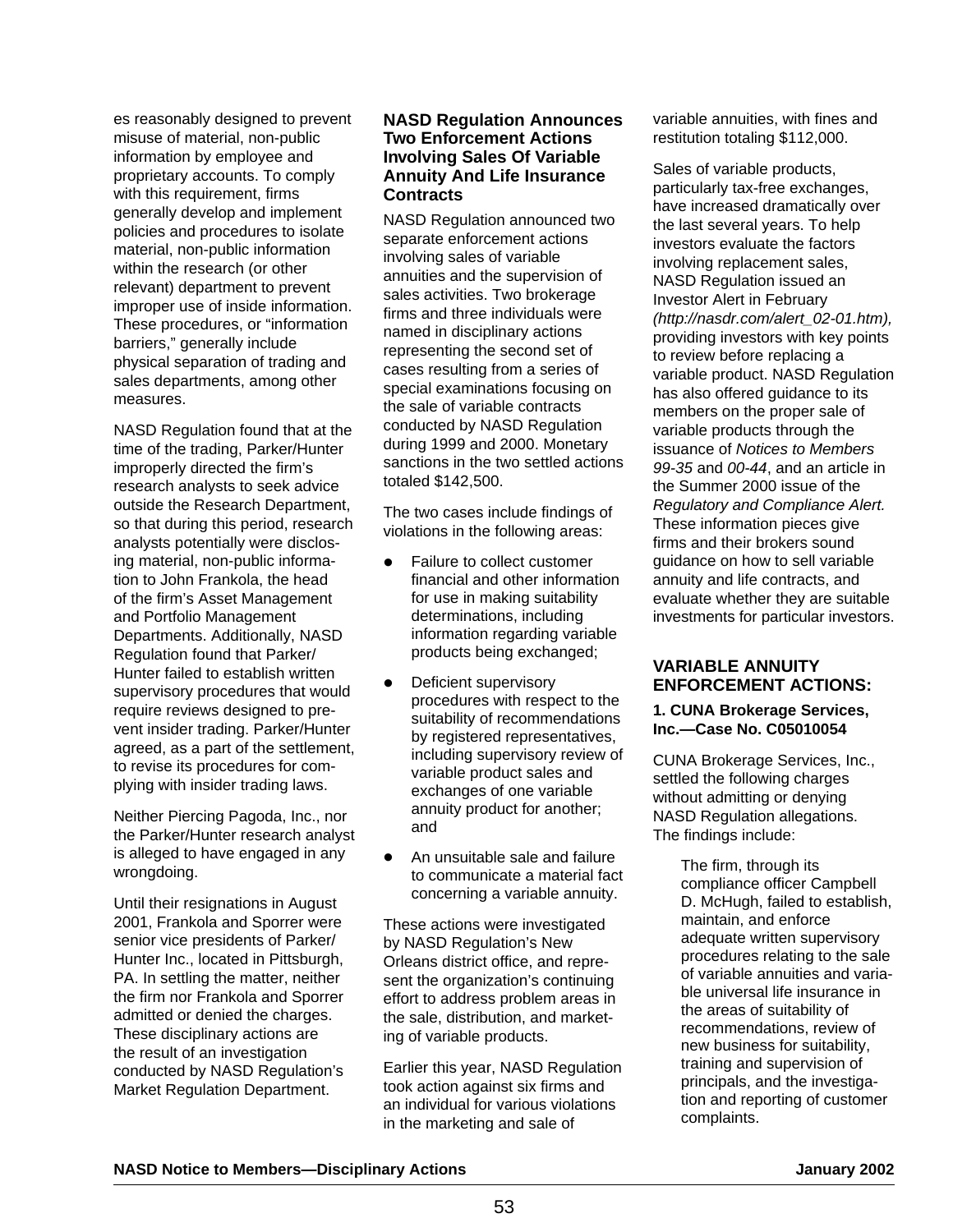es reasonably designed to prevent misuse of material, non-public information by employee and proprietary accounts. To comply with this requirement, firms generally develop and implement policies and procedures to isolate material, non-public information within the research (or other relevant) department to prevent improper use of inside information. These procedures, or "information barriers," generally include physical separation of trading and sales departments, among other measures.

NASD Regulation found that at the time of the trading, Parker/Hunter improperly directed the firm's research analysts to seek advice outside the Research Department, so that during this period, research analysts potentially were disclosing material, non-public information to John Frankola, the head of the firm's Asset Management and Portfolio Management Departments. Additionally, NASD Regulation found that Parker/ Hunter failed to establish written supervisory procedures that would require reviews designed to prevent insider trading. Parker/Hunter agreed, as a part of the settlement, to revise its procedures for complying with insider trading laws.

Neither Piercing Pagoda, Inc., nor the Parker/Hunter research analyst is alleged to have engaged in any wrongdoing.

Until their resignations in August 2001, Frankola and Sporrer were senior vice presidents of Parker/ Hunter Inc., located in Pittsburgh, PA. In settling the matter, neither the firm nor Frankola and Sporrer admitted or denied the charges. These disciplinary actions are the result of an investigation conducted by NASD Regulation's Market Regulation Department.

#### **NASD Regulation Announces Two Enforcement Actions Involving Sales Of Variable Annuity And Life Insurance Contracts**

NASD Regulation announced two separate enforcement actions involving sales of variable annuities and the supervision of sales activities. Two brokerage firms and three individuals were named in disciplinary actions representing the second set of cases resulting from a series of special examinations focusing on the sale of variable contracts conducted by NASD Regulation during 1999 and 2000. Monetary sanctions in the two settled actions totaled \$142,500.

The two cases include findings of violations in the following areas:

- Failure to collect customer financial and other information for use in making suitability determinations, including information regarding variable products being exchanged;
- Deficient supervisory procedures with respect to the suitability of recommendations by registered representatives, including supervisory review of variable product sales and exchanges of one variable annuity product for another; and
- An unsuitable sale and failure to communicate a material fact concerning a variable annuity.

These actions were investigated by NASD Regulation's New Orleans district office, and represent the organization's continuing effort to address problem areas in the sale, distribution, and marketing of variable products.

Earlier this year, NASD Regulation took action against six firms and an individual for various violations in the marketing and sale of

variable annuities, with fines and restitution totaling \$112,000.

Sales of variable products, particularly tax-free exchanges, have increased dramatically over the last several years. To help investors evaluate the factors involving replacement sales, NASD Regulation issued an Investor Alert in February (http://nasdr.com/alert\_02-01.htm), providing investors with key points to review before replacing a variable product. NASD Regulation has also offered guidance to its members on the proper sale of variable products through the issuance of Notices to Members 99-35 and 00-44, and an article in the Summer 2000 issue of the Regulatory and Compliance Alert. These information pieces give firms and their brokers sound guidance on how to sell variable annuity and life contracts, and evaluate whether they are suitable investments for particular investors.

#### **VARIABLE ANNUITY ENFORCEMENT ACTIONS:**

#### **1. CUNA Brokerage Services, Inc.—Case No. C05010054**

CUNA Brokerage Services, Inc., settled the following charges without admitting or denying NASD Regulation allegations. The findings include:

> The firm, through its compliance officer Campbell D. McHugh, failed to establish, maintain, and enforce adequate written supervisory procedures relating to the sale of variable annuities and variable universal life insurance in the areas of suitability of recommendations, review of new business for suitability, training and supervision of principals, and the investigation and reporting of customer complaints.